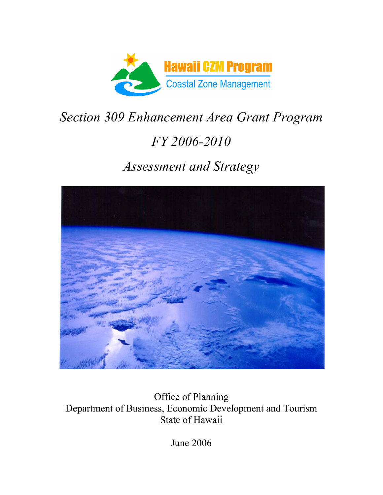

# *Section 309 Enhancement Area Grant Program FY 2006-2010 Assessment and Strategy*



Office of Planning Department of Business, Economic Development and Tourism State of Hawaii

June 2006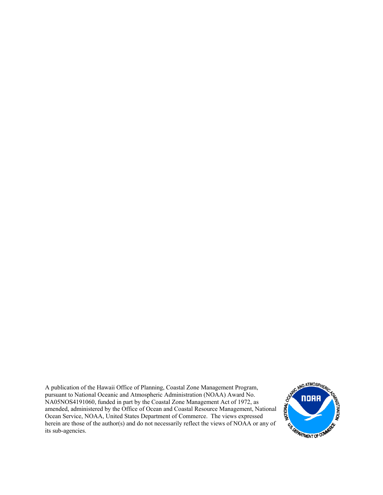A publication of the Hawaii Office of Planning, Coastal Zone Management Program, pursuant to National Oceanic and Atmospheric Administration (NOAA) Award No. NA05NOS4191060, funded in part by the Coastal Zone Management Act of 1972, as and Oceanic and Atmospheric Administration (NOAA) Award No.<br>
NA05NOS4191060, funded in part by the Coastal Zone Management Act of 1972, as<br>
amended, administered by the Office of Ocean and Coastal Resource Management, Nati Ocean Service, NOAA, United States Department of Commerce. The views expressed herein are those of the author(s) and do not necessarily reflect the views of NOAA or any of its sub-agencies.

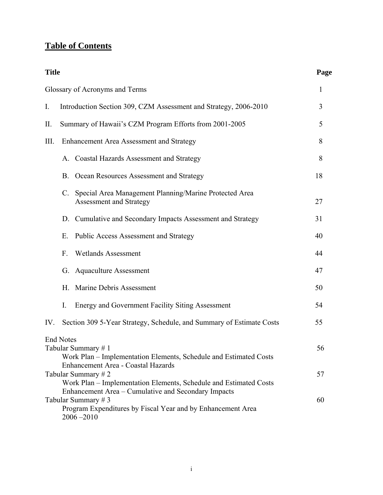## **Table of Contents**

| <b>Title</b> |                                                                                                                                                           | Page |  |  |  |  |  |
|--------------|-----------------------------------------------------------------------------------------------------------------------------------------------------------|------|--|--|--|--|--|
|              | Glossary of Acronyms and Terms                                                                                                                            | 1    |  |  |  |  |  |
| I.           | Introduction Section 309, CZM Assessment and Strategy, 2006-2010                                                                                          |      |  |  |  |  |  |
| II.          | Summary of Hawaii's CZM Program Efforts from 2001-2005                                                                                                    | 5    |  |  |  |  |  |
| III.         | Enhancement Area Assessment and Strategy                                                                                                                  | 8    |  |  |  |  |  |
|              | A. Coastal Hazards Assessment and Strategy                                                                                                                | 8    |  |  |  |  |  |
|              | <b>B.</b><br>Ocean Resources Assessment and Strategy                                                                                                      | 18   |  |  |  |  |  |
|              | Special Area Management Planning/Marine Protected Area<br>C.<br>Assessment and Strategy                                                                   | 27   |  |  |  |  |  |
|              | D. Cumulative and Secondary Impacts Assessment and Strategy                                                                                               | 31   |  |  |  |  |  |
|              | Ε.<br><b>Public Access Assessment and Strategy</b>                                                                                                        | 40   |  |  |  |  |  |
|              | <b>Wetlands Assessment</b><br>F.                                                                                                                          | 44   |  |  |  |  |  |
|              | <b>Aquaculture Assessment</b><br>G.                                                                                                                       | 47   |  |  |  |  |  |
|              | Marine Debris Assessment<br>Η.                                                                                                                            | 50   |  |  |  |  |  |
|              | Energy and Government Facility Siting Assessment<br>I.                                                                                                    | 54   |  |  |  |  |  |
| IV.          | Section 309 5-Year Strategy, Schedule, and Summary of Estimate Costs                                                                                      | 55   |  |  |  |  |  |
|              | <b>End Notes</b><br>Tabular Summary #1<br>Work Plan - Implementation Elements, Schedule and Estimated Costs                                               | 56   |  |  |  |  |  |
|              | Enhancement Area - Coastal Hazards<br>Tabular Summary #2<br>Work Plan - Implementation Elements, Schedule and Estimated Costs                             | 57   |  |  |  |  |  |
|              | Enhancement Area – Cumulative and Secondary Impacts<br>Tabular Summary #3<br>Program Expenditures by Fiscal Year and by Enhancement Area<br>$2006 - 2010$ | 60   |  |  |  |  |  |
|              |                                                                                                                                                           |      |  |  |  |  |  |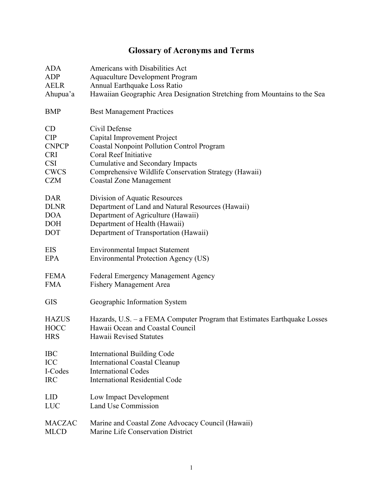# **Glossary of Acronyms and Terms**

| <b>ADA</b>    | Americans with Disabilities Act                                           |
|---------------|---------------------------------------------------------------------------|
| ADP           | <b>Aquaculture Development Program</b>                                    |
| <b>AELR</b>   | Annual Earthquake Loss Ratio                                              |
| Ahupua'a      | Hawaiian Geographic Area Designation Stretching from Mountains to the Sea |
| <b>BMP</b>    | <b>Best Management Practices</b>                                          |
| CD            | Civil Defense                                                             |
| <b>CIP</b>    | Capital Improvement Project                                               |
| <b>CNPCP</b>  | <b>Coastal Nonpoint Pollution Control Program</b>                         |
| <b>CRI</b>    | Coral Reef Initiative                                                     |
| <b>CSI</b>    | <b>Cumulative and Secondary Impacts</b>                                   |
| <b>CWCS</b>   | Comprehensive Wildlife Conservation Strategy (Hawaii)                     |
| <b>CZM</b>    | <b>Coastal Zone Management</b>                                            |
| <b>DAR</b>    | Division of Aquatic Resources                                             |
| <b>DLNR</b>   | Department of Land and Natural Resources (Hawaii)                         |
| <b>DOA</b>    | Department of Agriculture (Hawaii)                                        |
| <b>DOH</b>    | Department of Health (Hawaii)                                             |
| <b>DOT</b>    | Department of Transportation (Hawaii)                                     |
| <b>EIS</b>    | <b>Environmental Impact Statement</b>                                     |
| <b>EPA</b>    | Environmental Protection Agency (US)                                      |
| <b>FEMA</b>   | <b>Federal Emergency Management Agency</b>                                |
| <b>FMA</b>    | <b>Fishery Management Area</b>                                            |
| <b>GIS</b>    | Geographic Information System                                             |
| <b>HAZUS</b>  | Hazards, U.S. – a FEMA Computer Program that Estimates Earthquake Losses  |
| <b>HOCC</b>   | Hawaii Ocean and Coastal Council                                          |
| <b>HRS</b>    | Hawaii Revised Statutes                                                   |
| <b>IBC</b>    | <b>International Building Code</b>                                        |
| ICC           | <b>International Coastal Cleanup</b>                                      |
| I-Codes       | <b>International Codes</b>                                                |
| <b>IRC</b>    | <b>International Residential Code</b>                                     |
| <b>LID</b>    | Low Impact Development                                                    |
| <b>LUC</b>    | <b>Land Use Commission</b>                                                |
| <b>MACZAC</b> | Marine and Coastal Zone Advocacy Council (Hawaii)                         |
| <b>MLCD</b>   | Marine Life Conservation District                                         |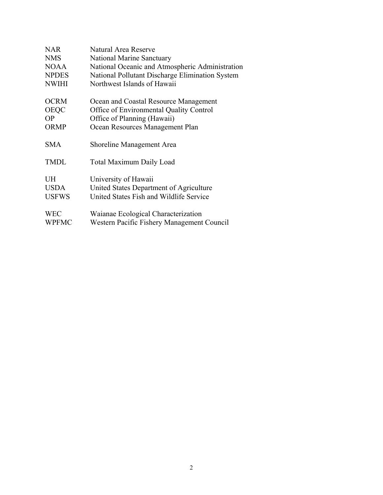| <b>NAR</b>   | Natural Area Reserve                            |
|--------------|-------------------------------------------------|
| <b>NMS</b>   | <b>National Marine Sanctuary</b>                |
| <b>NOAA</b>  | National Oceanic and Atmospheric Administration |
| <b>NPDES</b> | National Pollutant Discharge Elimination System |
| <b>NWIHI</b> | Northwest Islands of Hawaii                     |
| <b>OCRM</b>  | Ocean and Coastal Resource Management           |
| <b>OEQC</b>  | Office of Environmental Quality Control         |
| <b>OP</b>    | Office of Planning (Hawaii)                     |
| <b>ORMP</b>  | Ocean Resources Management Plan                 |
| <b>SMA</b>   | Shoreline Management Area                       |
| <b>TMDL</b>  | <b>Total Maximum Daily Load</b>                 |
| <b>UH</b>    | University of Hawaii                            |
| <b>USDA</b>  | United States Department of Agriculture         |
| <b>USFWS</b> | United States Fish and Wildlife Service         |
| <b>WEC</b>   | Waianae Ecological Characterization             |
| <b>WPFMC</b> | Western Pacific Fishery Management Council      |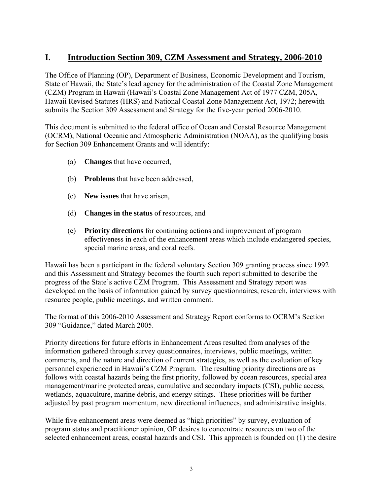## **I. Introduction Section 309, CZM Assessment and Strategy, 2006-2010**

The Office of Planning (OP), Department of Business, Economic Development and Tourism, State of Hawaii, the State's lead agency for the administration of the Coastal Zone Management (CZM) Program in Hawaii (Hawaii's Coastal Zone Management Act of 1977 CZM, 205A, Hawaii Revised Statutes (HRS) and National Coastal Zone Management Act, 1972; herewith submits the Section 309 Assessment and Strategy for the five-year period 2006-2010.

This document is submitted to the federal office of Ocean and Coastal Resource Management (OCRM), National Oceanic and Atmospheric Administration (NOAA), as the qualifying basis for Section 309 Enhancement Grants and will identify:

- (a) **Changes** that have occurred,
- (b) **Problems** that have been addressed,
- (c) **New issues** that have arisen,
- (d) **Changes in the status** of resources, and
- (e) **Priority directions** for continuing actions and improvement of program effectiveness in each of the enhancement areas which include endangered species, special marine areas, and coral reefs.

Hawaii has been a participant in the federal voluntary Section 309 granting process since 1992 and this Assessment and Strategy becomes the fourth such report submitted to describe the progress of the State's active CZM Program. This Assessment and Strategy report was developed on the basis of information gained by survey questionnaires, research, interviews with resource people, public meetings, and written comment.

The format of this 2006-2010 Assessment and Strategy Report conforms to OCRM's Section 309 "Guidance," dated March 2005.

Priority directions for future efforts in Enhancement Areas resulted from analyses of the information gathered through survey questionnaires, interviews, public meetings, written comments, and the nature and direction of current strategies, as well as the evaluation of key personnel experienced in Hawaii's CZM Program. The resulting priority directions are as follows with coastal hazards being the first priority, followed by ocean resources, special area management/marine protected areas, cumulative and secondary impacts (CSI), public access, wetlands, aquaculture, marine debris, and energy sitings. These priorities will be further adjusted by past program momentum, new directional influences, and administrative insights.

While five enhancement areas were deemed as "high priorities" by survey, evaluation of program status and practitioner opinion, OP desires to concentrate resources on two of the selected enhancement areas, coastal hazards and CSI. This approach is founded on (1) the desire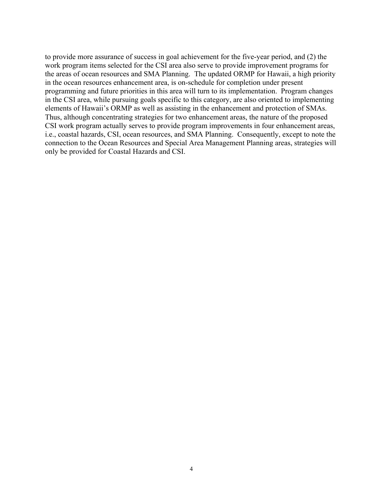to provide more assurance of success in goal achievement for the five-year period, and (2) the work program items selected for the CSI area also serve to provide improvement programs for the areas of ocean resources and SMA Planning. The updated ORMP for Hawaii, a high priority in the ocean resources enhancement area, is on-schedule for completion under present programming and future priorities in this area will turn to its implementation. Program changes in the CSI area, while pursuing goals specific to this category, are also oriented to implementing elements of Hawaii's ORMP as well as assisting in the enhancement and protection of SMAs. Thus, although concentrating strategies for two enhancement areas, the nature of the proposed CSI work program actually serves to provide program improvements in four enhancement areas, i.e., coastal hazards, CSI, ocean resources, and SMA Planning. Consequently, except to note the connection to the Ocean Resources and Special Area Management Planning areas, strategies will only be provided for Coastal Hazards and CSI.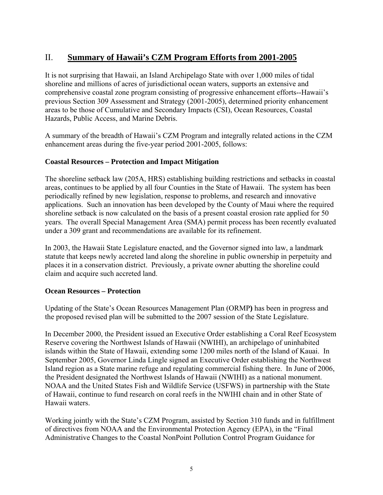## II. **Summary of Hawaii's CZM Program Efforts from 2001-2005**

It is not surprising that Hawaii, an Island Archipelago State with over 1,000 miles of tidal shoreline and millions of acres of jurisdictional ocean waters, supports an extensive and comprehensive coastal zone program consisting of progressive enhancement efforts--Hawaii's previous Section 309 Assessment and Strategy (2001-2005), determined priority enhancement areas to be those of Cumulative and Secondary Impacts (CSI), Ocean Resources, Coastal Hazards, Public Access, and Marine Debris.

A summary of the breadth of Hawaii's CZM Program and integrally related actions in the CZM enhancement areas during the five-year period 2001-2005, follows:

#### **Coastal Resources – Protection and Impact Mitigation**

The shoreline setback law (205A, HRS) establishing building restrictions and setbacks in coastal areas, continues to be applied by all four Counties in the State of Hawaii. The system has been periodically refined by new legislation, response to problems, and research and innovative applications. Such an innovation has been developed by the County of Maui where the required shoreline setback is now calculated on the basis of a present coastal erosion rate applied for 50 years. The overall Special Management Area (SMA) permit process has been recently evaluated under a 309 grant and recommendations are available for its refinement.

In 2003, the Hawaii State Legislature enacted, and the Governor signed into law, a landmark statute that keeps newly accreted land along the shoreline in public ownership in perpetuity and places it in a conservation district. Previously, a private owner abutting the shoreline could claim and acquire such accreted land.

#### **Ocean Resources – Protection**

Updating of the State's Ocean Resources Management Plan (ORMP**)** has been in progress and the proposed revised plan will be submitted to the 2007 session of the State Legislature.

In December 2000, the President issued an Executive Order establishing a Coral Reef Ecosystem Reserve covering the Northwest Islands of Hawaii (NWIHI), an archipelago of uninhabited islands within the State of Hawaii, extending some 1200 miles north of the Island of Kauai. In September 2005, Governor Linda Lingle signed an Executive Order establishing the Northwest Island region as a State marine refuge and regulating commercial fishing there. In June of 2006, the President designated the Northwest Islands of Hawaii (NWIHI) as a national monument. NOAA and the United States Fish and Wildlife Service (USFWS) in partnership with the State of Hawaii, continue to fund research on coral reefs in the NWIHI chain and in other State of Hawaii waters.

Working jointly with the State's CZM Program, assisted by Section 310 funds and in fulfillment of directives from NOAA and the Environmental Protection Agency (EPA), in the "Final Administrative Changes to the Coastal NonPoint Pollution Control Program Guidance for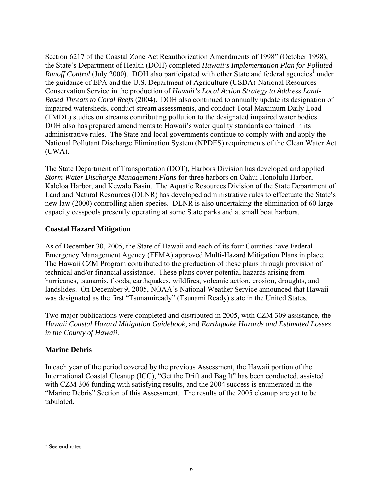Section 6217 of the Coastal Zone Act Reauthorization Amendments of 1998" (October 1998), the State's Department of Health (DOH) completed *Hawaii's Implementation Plan for Polluted*  Runoff Control (July 2000). DOH also participated with other State and federal agencies<sup>1</sup> under the guidance of EPA and the U.S. Department of Agriculture (USDA)-National Resources Conservation Service in the production of *Hawaii's Local Action Strategy to Address Land-Based Threats to Coral Reefs* (2004). DOH also continued to annually update its designation of impaired watersheds, conduct stream assessments, and conduct Total Maximum Daily Load (TMDL) studies on streams contributing pollution to the designated impaired water bodies. DOH also has prepared amendments to Hawaii's water quality standards contained in its administrative rules. The State and local governments continue to comply with and apply the National Pollutant Discharge Elimination System (NPDES) requirements of the Clean Water Act (CWA).

The State Department of Transportation (DOT), Harbors Division has developed and applied *Storm Water Discharge Management Plans* for three harbors on Oahu; Honolulu Harbor, Kaleloa Harbor, and Kewalo Basin. The Aquatic Resources Division of the State Department of Land and Natural Resources (DLNR) has developed administrative rules to effectuate the State's new law (2000) controlling alien species. DLNR is also undertaking the elimination of 60 largecapacity cesspools presently operating at some State parks and at small boat harbors.

#### **Coastal Hazard Mitigation**

As of December 30, 2005, the State of Hawaii and each of its four Counties have Federal Emergency Management Agency (FEMA) approved Multi-Hazard Mitigation Plans in place. The Hawaii CZM Program contributed to the production of these plans through provision of technical and/or financial assistance. These plans cover potential hazards arising from hurricanes, tsunamis, floods, earthquakes, wildfires, volcanic action, erosion, droughts, and landslides. On December 9, 2005, NOAA's National Weather Service announced that Hawaii was designated as the first "Tsunamiready" (Tsunami Ready) state in the United States.

Two major publications were completed and distributed in 2005, with CZM 309 assistance, the *Hawaii Coastal Hazard Mitigation Guidebook*, and *Earthquake Hazards and Estimated Losses in the County of Hawaii*.

#### **Marine Debris**

In each year of the period covered by the previous Assessment, the Hawaii portion of the International Coastal Cleanup (ICC), "Get the Drift and Bag It" has been conducted, assisted with CZM 306 funding with satisfying results, and the 2004 success is enumerated in the "Marine Debris" Section of this Assessment. The results of the 2005 cleanup are yet to be tabulated.

 $\overline{a}$ <sup>1</sup> See endnotes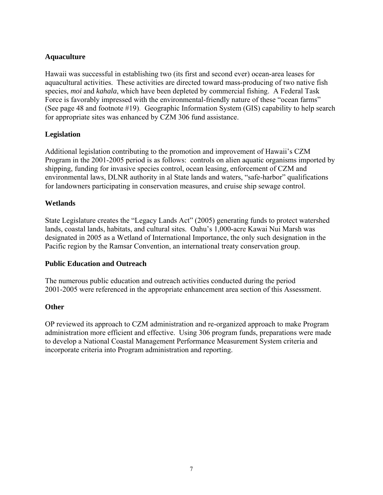#### **Aquaculture**

Hawaii was successful in establishing two (its first and second ever) ocean-area leases for aquacultural activities. These activities are directed toward mass-producing of two native fish species, *moi* and *kahala*, which have been depleted by commercial fishing. A Federal Task Force is favorably impressed with the environmental-friendly nature of these "ocean farms" (See page 48 and footnote #19). Geographic Information System (GIS) capability to help search for appropriate sites was enhanced by CZM 306 fund assistance.

#### **Legislation**

Additional legislation contributing to the promotion and improvement of Hawaii's CZM Program in the 2001-2005 period is as follows: controls on alien aquatic organisms imported by shipping, funding for invasive species control, ocean leasing, enforcement of CZM and environmental laws, DLNR authority in al State lands and waters, "safe-harbor" qualifications for landowners participating in conservation measures, and cruise ship sewage control.

#### **Wetlands**

State Legislature creates the "Legacy Lands Act" (2005) generating funds to protect watershed lands, coastal lands, habitats, and cultural sites. Oahu's 1,000-acre Kawai Nui Marsh was designated in 2005 as a Wetland of International Importance, the only such designation in the Pacific region by the Ramsar Convention, an international treaty conservation group.

#### **Public Education and Outreach**

The numerous public education and outreach activities conducted during the period 2001-2005 were referenced in the appropriate enhancement area section of this Assessment.

#### **Other**

OP reviewed its approach to CZM administration and re-organized approach to make Program administration more efficient and effective. Using 306 program funds, preparations were made to develop a National Coastal Management Performance Measurement System criteria and incorporate criteria into Program administration and reporting.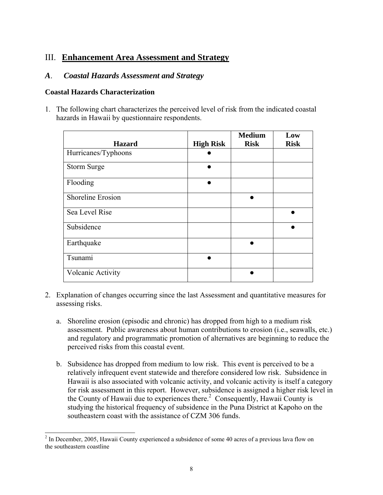## III. **Enhancement Area Assessment and Strategy**

#### *A*. *Coastal Hazards Assessment and Strategy*

#### **Coastal Hazards Characterization**

1. The following chart characterizes the perceived level of risk from the indicated coastal hazards in Hawaii by questionnaire respondents.

|                          |                  | <b>Medium</b> | Low         |
|--------------------------|------------------|---------------|-------------|
| <b>Hazard</b>            | <b>High Risk</b> | <b>Risk</b>   | <b>Risk</b> |
| Hurricanes/Typhoons      |                  |               |             |
| Storm Surge              |                  |               |             |
| Flooding                 |                  |               |             |
| <b>Shoreline Erosion</b> |                  |               |             |
| Sea Level Rise           |                  |               |             |
| Subsidence               |                  |               |             |
| Earthquake               |                  |               |             |
| Tsunami                  |                  |               |             |
| Volcanic Activity        |                  |               |             |

- 2. Explanation of changes occurring since the last Assessment and quantitative measures for assessing risks.
	- a. Shoreline erosion (episodic and chronic) has dropped from high to a medium risk assessment. Public awareness about human contributions to erosion (i.e., seawalls, etc.) and regulatory and programmatic promotion of alternatives are beginning to reduce the perceived risks from this coastal event.
	- b. Subsidence has dropped from medium to low risk. This event is perceived to be a relatively infrequent event statewide and therefore considered low risk. Subsidence in Hawaii is also associated with volcanic activity, and volcanic activity is itself a category for risk assessment in this report. However, subsidence is assigned a higher risk level in the County of Hawaii due to experiences there.<sup>2</sup> Consequently, Hawaii County is studying the historical frequency of subsidence in the Puna District at Kapoho on the southeastern coast with the assistance of CZM 306 funds.

<sup>&</sup>lt;sup>2</sup> In December, 2005, Hawaii County experienced a subsidence of some 40 acres of a previous lava flow on the southeastern coastline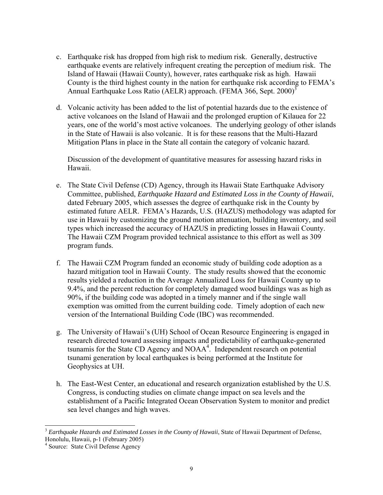- c. Earthquake risk has dropped from high risk to medium risk. Generally, destructive earthquake events are relatively infrequent creating the perception of medium risk. The Island of Hawaii (Hawaii County), however, rates earthquake risk as high. Hawaii County is the third highest county in the nation for earthquake risk according to FEMA's Annual Earthquake Loss Ratio (AELR) approach. (FEMA 366, Sept.  $2000$ )<sup>3</sup>
- d. Volcanic activity has been added to the list of potential hazards due to the existence of active volcanoes on the Island of Hawaii and the prolonged eruption of Kilauea for 22 years, one of the world's most active volcanoes. The underlying geology of other islands in the State of Hawaii is also volcanic. It is for these reasons that the Multi-Hazard Mitigation Plans in place in the State all contain the category of volcanic hazard.

Discussion of the development of quantitative measures for assessing hazard risks in Hawaii.

- e. The State Civil Defense (CD) Agency, through its Hawaii State Earthquake Advisory Committee, published, *Earthquake Hazard and Estimated Loss in the County of Hawaii*, dated February 2005, which assesses the degree of earthquake risk in the County by estimated future AELR. FEMA's Hazards, U.S. (HAZUS) methodology was adapted for use in Hawaii by customizing the ground motion attenuation, building inventory, and soil types which increased the accuracy of HAZUS in predicting losses in Hawaii County. The Hawaii CZM Program provided technical assistance to this effort as well as 309 program funds.
- f. The Hawaii CZM Program funded an economic study of building code adoption as a hazard mitigation tool in Hawaii County. The study results showed that the economic results yielded a reduction in the Average Annualized Loss for Hawaii County up to 9.4%, and the percent reduction for completely damaged wood buildings was as high as 90%, if the building code was adopted in a timely manner and if the single wall exemption was omitted from the current building code. Timely adoption of each new version of the International Building Code (IBC) was recommended.
- g. The University of Hawaii's (UH) School of Ocean Resource Engineering is engaged in research directed toward assessing impacts and predictability of earthquake-generated tsunamis for the State CD Agency and NOAA4 . Independent research on potential tsunami generation by local earthquakes is being performed at the Institute for Geophysics at UH.
- h. The East-West Center, an educational and research organization established by the U.S. Congress, is conducting studies on climate change impact on sea levels and the establishment of a Pacific Integrated Ocean Observation System to monitor and predict sea level changes and high waves.

l <sup>3</sup> *Earthquake Hazards and Estimated Losses in the County of Hawaii*, State of Hawaii Department of Defense, Honolulu, Hawaii, p-1 (February 2005)

<sup>4</sup> Source: State Civil Defense Agency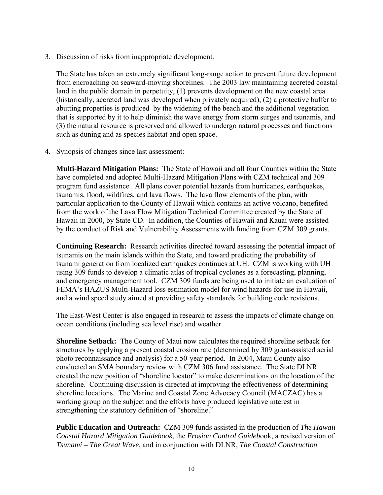3. Discussion of risks from inappropriate development.

The State has taken an extremely significant long-range action to prevent future development from encroaching on seaward-moving shorelines. The 2003 law maintaining accreted coastal land in the public domain in perpetuity, (1) prevents development on the new coastal area (historically, accreted land was developed when privately acquired), (2) a protective buffer to abutting properties is produced by the widening of the beach and the additional vegetation that is supported by it to help diminish the wave energy from storm surges and tsunamis, and (3) the natural resource is preserved and allowed to undergo natural processes and functions such as duning and as species habitat and open space.

4. Synopsis of changes since last assessment:

**Multi-Hazard Mitigation Plans:** The State of Hawaii and all four Counties within the State have completed and adopted Multi-Hazard Mitigation Plans with CZM technical and 309 program fund assistance. All plans cover potential hazards from hurricanes, earthquakes, tsunamis, flood, wildfires, and lava flows. The lava flow elements of the plan, with particular application to the County of Hawaii which contains an active volcano, benefited from the work of the Lava Flow Mitigation Technical Committee created by the State of Hawaii in 2000, by State CD. In addition, the Counties of Hawaii and Kauai were assisted by the conduct of Risk and Vulnerability Assessments with funding from CZM 309 grants.

**Continuing Research:** Research activities directed toward assessing the potential impact of tsunamis on the main islands within the State, and toward predicting the probability of tsunami generation from localized earthquakes continues at UH. CZM is working with UH using 309 funds to develop a climatic atlas of tropical cyclones as a forecasting, planning, and emergency management tool. CZM 309 funds are being used to initiate an evaluation of FEMA's HAZUS Multi-Hazard loss estimation model for wind hazards for use in Hawaii, and a wind speed study aimed at providing safety standards for building code revisions.

The East-West Center is also engaged in research to assess the impacts of climate change on ocean conditions (including sea level rise) and weather.

**Shoreline Setback:** The County of Maui now calculates the required shoreline setback for structures by applying a present coastal erosion rate (determined by 309 grant-assisted aerial photo reconnaissance and analysis) for a 50-year period. In 2004, Maui County also conducted an SMA boundary review with CZM 306 fund assistance. The State DLNR created the new position of "shoreline locator" to make determinations on the location of the shoreline. Continuing discussion is directed at improving the effectiveness of determining shoreline locations. The Marine and Coastal Zone Advocacy Council (MACZAC) has a working group on the subject and the efforts have produced legislative interest in strengthening the statutory definition of "shoreline."

**Public Education and Outreach:** CZM 309 funds assisted in the production of *The Hawaii Coastal Hazard Mitigation Guidebook*, the *Erosion Control Guideb*ook, a revised version of *Tsunami – The Great Wave*, and in conjunction with DLNR, *The Coastal Construction*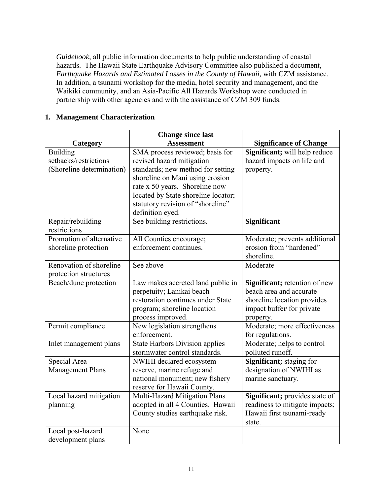*Guidebook*, all public information documents to help public understanding of coastal hazards. The Hawaii State Earthquake Advisory Committee also published a document, *Earthquake Hazards and Estimated Losses in the County of Hawaii,* with CZM assistance. In addition, a tsunami workshop for the media, hotel security and management, and the Waikiki community, and an Asia-Pacific All Hazards Workshop were conducted in partnership with other agencies and with the assistance of CZM 309 funds.

#### **1. Management Characterization**

| <b>Change since last</b>  |                                       |                                |
|---------------------------|---------------------------------------|--------------------------------|
| Category                  | <b>Assessment</b>                     | <b>Significance of Change</b>  |
| <b>Building</b>           | SMA process reviewed; basis for       | Significant; will help reduce  |
| setbacks/restrictions     | revised hazard mitigation             | hazard impacts on life and     |
| (Shoreline determination) | standards; new method for setting     | property.                      |
|                           | shoreline on Maui using erosion       |                                |
|                           | rate x 50 years. Shoreline now        |                                |
|                           | located by State shoreline locator;   |                                |
|                           | statutory revision of "shoreline"     |                                |
|                           | definition eyed.                      |                                |
| Repair/rebuilding         | See building restrictions.            | <b>Significant</b>             |
| restrictions              |                                       |                                |
| Promotion of alternative  | All Counties encourage;               | Moderate; prevents additional  |
| shoreline protection      | enforcement continues.                | erosion from "hardened"        |
|                           |                                       | shoreline.                     |
| Renovation of shoreline   | See above                             | Moderate                       |
| protection structures     |                                       |                                |
| Beach/dune protection     | Law makes accreted land public in     | Significant; retention of new  |
|                           | perpetuity; Lanikai beach             | beach area and accurate        |
|                           | restoration continues under State     | shoreline location provides    |
|                           | program; shoreline location           | impact buffer for private      |
|                           | process improved.                     | property.                      |
| Permit compliance         | New legislation strengthens           | Moderate; more effectiveness   |
|                           | enforcement.                          | for regulations.               |
| Inlet management plans    | <b>State Harbors Division applies</b> | Moderate; helps to control     |
|                           | stormwater control standards.         | polluted runoff.               |
| Special Area              | NWIHI declared ecosystem              | Significant; staging for       |
| <b>Management Plans</b>   | reserve, marine refuge and            | designation of NWIHI as        |
|                           | national monument; new fishery        | marine sanctuary.              |
|                           | reserve for Hawaii County.            |                                |
| Local hazard mitigation   | Multi-Hazard Mitigation Plans         | Significant; provides state of |
| planning                  | adopted in all 4 Counties. Hawaii     | readiness to mitigate impacts; |
|                           | County studies earthquake risk.       | Hawaii first tsunami-ready     |
|                           |                                       | state.                         |
| Local post-hazard         | None                                  |                                |
| development plans         |                                       |                                |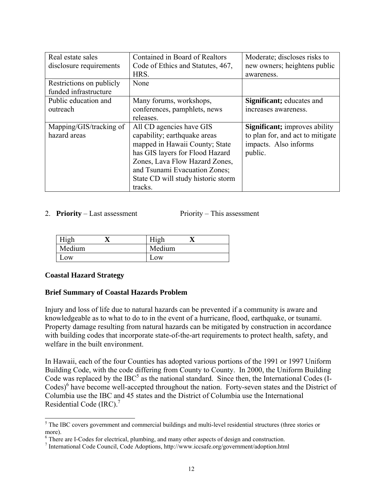| Real estate sales        | Contained in Board of Realtors     | Moderate; discloses risks to          |
|--------------------------|------------------------------------|---------------------------------------|
| disclosure requirements  | Code of Ethics and Statutes, 467,  | new owners; heightens public          |
|                          | HRS.                               | awareness.                            |
| Restrictions on publicly | None                               |                                       |
| funded infrastructure    |                                    |                                       |
| Public education and     | Many forums, workshops,            | <b>Significant</b> ; educates and     |
| outreach                 | conferences, pamphlets, news       | increases awareness.                  |
|                          | releases.                          |                                       |
| Mapping/GIS/tracking of  | All CD agencies have GIS           | <b>Significant</b> ; improves ability |
| hazard areas             | capability; earthquake areas       | to plan for, and act to mitigate      |
|                          | mapped in Hawaii County; State     | impacts. Also informs                 |
|                          | has GIS layers for Flood Hazard    | public.                               |
|                          | Zones, Lava Flow Hazard Zones,     |                                       |
|                          | and Tsunami Evacuation Zones;      |                                       |
|                          | State CD will study historic storm |                                       |
|                          | tracks.                            |                                       |

#### 2. **Priority** – Last assessment Priority – This assessment

| High   |        |  |
|--------|--------|--|
| Medium | Medium |  |
| .0W    | Low    |  |

#### **Coastal Hazard Strategy**

#### **Brief Summary of Coastal Hazards Problem**

Injury and loss of life due to natural hazards can be prevented if a community is aware and knowledgeable as to what to do to in the event of a hurricane, flood, earthquake, or tsunami. Property damage resulting from natural hazards can be mitigated by construction in accordance with building codes that incorporate state-of-the-art requirements to protect health, safety, and welfare in the built environment.

In Hawaii, each of the four Counties has adopted various portions of the 1991 or 1997 Uniform Building Code, with the code differing from County to County. In 2000, the Uniform Building Code was replaced by the IBC<sup>5</sup> as the national standard. Since then, the International Codes (I-Codes)<sup>6</sup> have become well-accepted throughout the nation. Forty-seven states and the District of Columbia use the IBC and 45 states and the District of Columbia use the International Residential Code  $(IRC)$ .<sup>7</sup>

<sup>&</sup>lt;sup>5</sup> The IBC covers government and commercial buildings and multi-level residential structures (three stories or more).

<sup>&</sup>lt;sup>6</sup> There are I-Codes for electrical, plumbing, and many other aspects of design and construction.

<sup>7</sup> International Code Council, Code Adoptions, http://www.iccsafe.org/government/adoption.html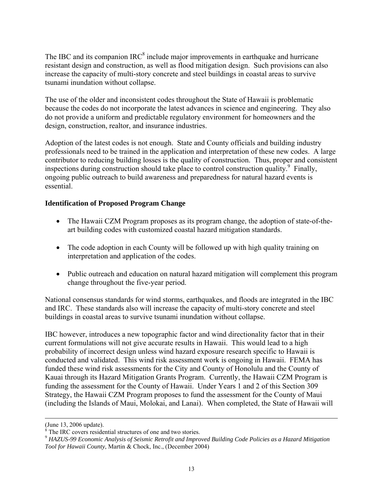The IBC and its companion IRC $<sup>8</sup>$  include major improvements in earthquake and hurricane</sup> resistant design and construction, as well as flood mitigation design. Such provisions can also increase the capacity of multi-story concrete and steel buildings in coastal areas to survive tsunami inundation without collapse.

The use of the older and inconsistent codes throughout the State of Hawaii is problematic because the codes do not incorporate the latest advances in science and engineering. They also do not provide a uniform and predictable regulatory environment for homeowners and the design, construction, realtor, and insurance industries.

Adoption of the latest codes is not enough. State and County officials and building industry professionals need to be trained in the application and interpretation of these new codes. A large contributor to reducing building losses is the quality of construction. Thus, proper and consistent inspections during construction should take place to control construction quality.<sup>9</sup> Finally, ongoing public outreach to build awareness and preparedness for natural hazard events is essential.

#### **Identification of Proposed Program Change**

- The Hawaii CZM Program proposes as its program change, the adoption of state-of-theart building codes with customized coastal hazard mitigation standards.
- The code adoption in each County will be followed up with high quality training on interpretation and application of the codes.
- Public outreach and education on natural hazard mitigation will complement this program change throughout the five-year period.

National consensus standards for wind storms, earthquakes, and floods are integrated in the IBC and IRC. These standards also will increase the capacity of multi-story concrete and steel buildings in coastal areas to survive tsunami inundation without collapse.

IBC however, introduces a new topographic factor and wind directionality factor that in their current formulations will not give accurate results in Hawaii. This would lead to a high probability of incorrect design unless wind hazard exposure research specific to Hawaii is conducted and validated. This wind risk assessment work is ongoing in Hawaii. FEMA has funded these wind risk assessments for the City and County of Honolulu and the County of Kauai through its Hazard Mitigation Grants Program. Currently, the Hawaii CZM Program is funding the assessment for the County of Hawaii. Under Years 1 and 2 of this Section 309 Strategy, the Hawaii CZM Program proposes to fund the assessment for the County of Maui (including the Islands of Maui, Molokai, and Lanai). When completed, the State of Hawaii will

 $\overline{a}$ 

<sup>(</sup>June 13, 2006 update). 8 The IRC covers residential structures of one and two stories.

<sup>9</sup> *HAZUS-99 Economic Analysis of Seismic Retrofit and Improved Building Code Policies as a Hazard Mitigation Tool for Hawaii County*, Martin & Chock, Inc., (December 2004)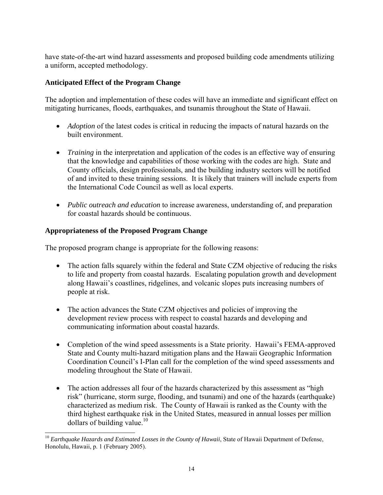have state-of-the-art wind hazard assessments and proposed building code amendments utilizing a uniform, accepted methodology.

#### **Anticipated Effect of the Program Change**

The adoption and implementation of these codes will have an immediate and significant effect on mitigating hurricanes, floods, earthquakes, and tsunamis throughout the State of Hawaii.

- *Adoption* of the latest codes is critical in reducing the impacts of natural hazards on the built environment.
- *Training* in the interpretation and application of the codes is an effective way of ensuring that the knowledge and capabilities of those working with the codes are high. State and County officials, design professionals, and the building industry sectors will be notified of and invited to these training sessions. It is likely that trainers will include experts from the International Code Council as well as local experts.
- *Public outreach and education* to increase awareness, understanding of, and preparation for coastal hazards should be continuous.

#### **Appropriateness of the Proposed Program Change**

 $\overline{a}$ 

The proposed program change is appropriate for the following reasons:

- The action falls squarely within the federal and State CZM objective of reducing the risks to life and property from coastal hazards. Escalating population growth and development along Hawaii's coastlines, ridgelines, and volcanic slopes puts increasing numbers of people at risk.
- The action advances the State CZM objectives and policies of improving the development review process with respect to coastal hazards and developing and communicating information about coastal hazards.
- Completion of the wind speed assessments is a State priority. Hawaii's FEMA-approved State and County multi-hazard mitigation plans and the Hawaii Geographic Information Coordination Council's I-Plan call for the completion of the wind speed assessments and modeling throughout the State of Hawaii.
- The action addresses all four of the hazards characterized by this assessment as "high risk" (hurricane, storm surge, flooding, and tsunami) and one of the hazards (earthquake) characterized as medium risk. The County of Hawaii is ranked as the County with the third highest earthquake risk in the United States, measured in annual losses per million dollars of building value.<sup>10</sup>

<sup>&</sup>lt;sup>10</sup> *Earthquake Hazards and Estimated Losses in the County of Hawaii*, State of Hawaii Department of Defense, Honolulu, Hawaii, p. 1 (February 2005).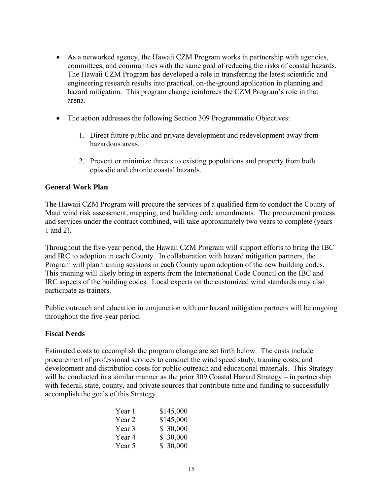- As a networked agency, the Hawaii CZM Program works in partnership with agencies, committees, and communities with the same goal of reducing the risks of coastal hazards. The Hawaii CZM Program has developed a role in transferring the latest scientific and engineering research results into practical, on-the-ground application in planning and hazard mitigation. This program change reinforces the CZM Program's role in that arena.
- The action addresses the following Section 309 Programmatic Objectives:
	- 1. Direct future public and private development and redevelopment away from hazardous areas.
	- 2. Prevent or minimize threats to existing populations and property from both episodic and chronic coastal hazards.

#### **General Work Plan**

The Hawaii CZM Program will procure the services of a qualified firm to conduct the County of Maui wind risk assessment, mapping, and building code amendments. The procurement process and services under the contract combined, will take approximately two years to complete (years 1 and 2).

Throughout the five-year period, the Hawaii CZM Program will support efforts to bring the IBC and IRC to adoption in each County. In collaboration with hazard mitigation partners, the Program will plan training sessions in each County upon adoption of the new building codes. This training will likely bring in experts from the International Code Council on the IBC and IRC aspects of the building codes. Local experts on the customized wind standards may also participate as trainers.

Public outreach and education in conjunction with our hazard mitigation partners will be ongoing throughout the five-year period.

#### **Fiscal Needs**

Estimated costs to accomplish the program change are set forth below. The costs include procurement of professional services to conduct the wind speed study, training costs, and development and distribution costs for public outreach and educational materials. This Strategy will be conducted in a similar manner as the prior 309 Coastal Hazard Strategy – in partnership with federal, state, county, and private sources that contribute time and funding to successfully accomplish the goals of this Strategy.

| Year 1 | \$145,000 |
|--------|-----------|
| Year 2 | \$145,000 |
| Year 3 | \$30,000  |
| Year 4 | \$30,000  |
| Year 5 | \$30,000  |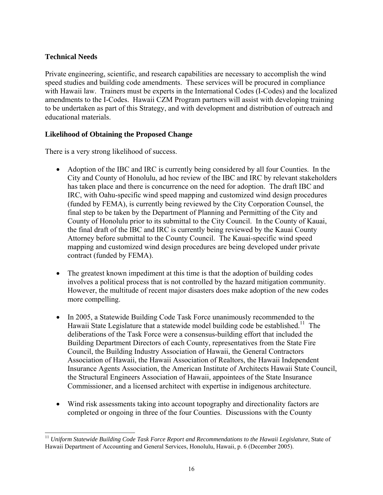#### **Technical Needs**

 $\overline{a}$ 

Private engineering, scientific, and research capabilities are necessary to accomplish the wind speed studies and building code amendments. These services will be procured in compliance with Hawaii law. Trainers must be experts in the International Codes (I-Codes) and the localized amendments to the I-Codes. Hawaii CZM Program partners will assist with developing training to be undertaken as part of this Strategy, and with development and distribution of outreach and educational materials.

#### **Likelihood of Obtaining the Proposed Change**

There is a very strong likelihood of success.

- Adoption of the IBC and IRC is currently being considered by all four Counties. In the City and County of Honolulu, ad hoc review of the IBC and IRC by relevant stakeholders has taken place and there is concurrence on the need for adoption. The draft IBC and IRC, with Oahu-specific wind speed mapping and customized wind design procedures (funded by FEMA), is currently being reviewed by the City Corporation Counsel, the final step to be taken by the Department of Planning and Permitting of the City and County of Honolulu prior to its submittal to the City Council. In the County of Kauai, the final draft of the IBC and IRC is currently being reviewed by the Kauai County Attorney before submittal to the County Council. The Kauai-specific wind speed mapping and customized wind design procedures are being developed under private contract (funded by FEMA).
- The greatest known impediment at this time is that the adoption of building codes involves a political process that is not controlled by the hazard mitigation community. However, the multitude of recent major disasters does make adoption of the new codes more compelling.
- In 2005, a Statewide Building Code Task Force unanimously recommended to the Hawaii State Legislature that a statewide model building code be established.<sup>11</sup> The deliberations of the Task Force were a consensus-building effort that included the Building Department Directors of each County, representatives from the State Fire Council, the Building Industry Association of Hawaii, the General Contractors Association of Hawaii, the Hawaii Association of Realtors, the Hawaii Independent Insurance Agents Association, the American Institute of Architects Hawaii State Council, the Structural Engineers Association of Hawaii, appointees of the State Insurance Commissioner, and a licensed architect with expertise in indigenous architecture.
- Wind risk assessments taking into account topography and directionality factors are completed or ongoing in three of the four Counties. Discussions with the County

<sup>&</sup>lt;sup>11</sup> Uniform Statewide Building Code Task Force Report and Recommendations to the Hawaii Legislature, State of Hawaii Department of Accounting and General Services, Honolulu, Hawaii, p. 6 (December 2005).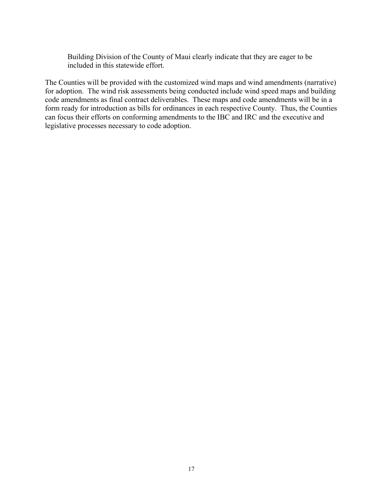Building Division of the County of Maui clearly indicate that they are eager to be included in this statewide effort.

The Counties will be provided with the customized wind maps and wind amendments (narrative) for adoption. The wind risk assessments being conducted include wind speed maps and building code amendments as final contract deliverables. These maps and code amendments will be in a form ready for introduction as bills for ordinances in each respective County. Thus, the Counties can focus their efforts on conforming amendments to the IBC and IRC and the executive and legislative processes necessary to code adoption.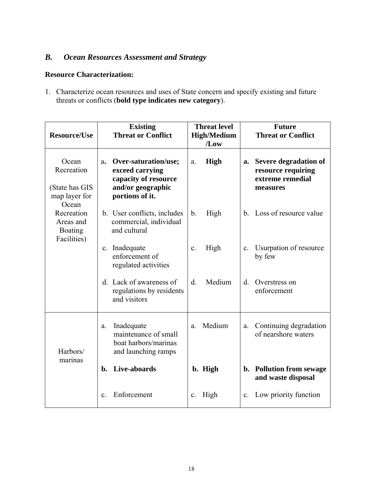## *B. Ocean Resources Assessment and Strategy*

#### **Resource Characterization:**

1. Characterize ocean resources and uses of State concern and specify existing and future threats or conflicts (**bold type indicates new category**).

|                                                                 | <b>Existing</b>                                                                                                          | <b>Threat level</b>    | <b>Future</b>                                                                     |  |
|-----------------------------------------------------------------|--------------------------------------------------------------------------------------------------------------------------|------------------------|-----------------------------------------------------------------------------------|--|
| <b>Resource/Use</b>                                             | <b>Threat or Conflict</b>                                                                                                | <b>High/Medium</b>     | <b>Threat or Conflict</b>                                                         |  |
|                                                                 |                                                                                                                          | /Low                   |                                                                                   |  |
| Ocean<br>Recreation<br>(State has GIS<br>map layer for<br>Ocean | Over-saturation/use;<br>$a_{\bullet}$<br>exceed carrying<br>capacity of resource<br>and/or geographic<br>portions of it. | <b>High</b><br>a.      | Severe degradation of<br>a.<br>resource requiring<br>extreme remedial<br>measures |  |
| Recreation<br>Areas and<br><b>Boating</b><br>Facilities)        | b. User conflicts, includes<br>commercial, individual<br>and cultural                                                    | High<br>$\mathbf b$ .  | b. Loss of resource value                                                         |  |
|                                                                 | Inadequate<br>$\mathbf{c}$ .<br>enforcement of<br>regulated activities                                                   | High<br>$\mathbf{c}$ . | Usurpation of resource<br>$\mathbf{c}$ .<br>by few                                |  |
|                                                                 | d. Lack of awareness of<br>regulations by residents<br>and visitors                                                      | Medium<br>$d_{\cdot}$  | d.<br>Overstress on<br>enforcement                                                |  |
| Harbors/<br>marinas                                             | Inadequate<br>a.<br>maintenance of small<br>boat harbors/marinas<br>and launching ramps                                  | Medium<br>a.           | Continuing degradation<br>a.<br>of nearshore waters                               |  |
|                                                                 | Live-aboards<br>b.                                                                                                       | b. High                | <b>Pollution from sewage</b><br>b.<br>and waste disposal                          |  |
|                                                                 | Enforcement<br>$\mathbf{c}$ .                                                                                            | High<br>$\mathbf{c}$ . | Low priority function<br>$\mathbf{c}$ .                                           |  |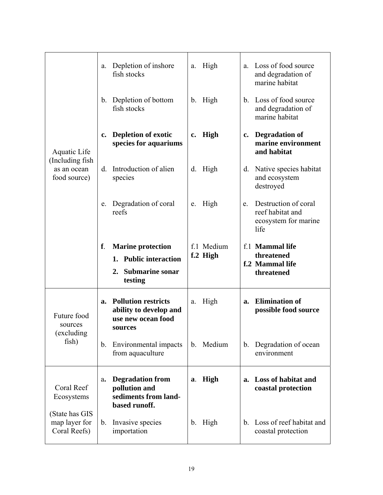|                                                 | a.             | Depletion of inshore<br>fish stocks                                                   | a.            | High       | a.             | Loss of food source<br>and degradation of<br>marine habitat              |
|-------------------------------------------------|----------------|---------------------------------------------------------------------------------------|---------------|------------|----------------|--------------------------------------------------------------------------|
|                                                 | $b_{\cdot}$    | Depletion of bottom<br>fish stocks                                                    |               | b. High    | $b_{\cdot}$    | Loss of food source<br>and degradation of<br>marine habitat              |
| Aquatic Life                                    | $\mathbf{c}$ . | <b>Depletion of exotic</b><br>species for aquariums                                   | $c_{\bullet}$ | High       | $\mathbf{c}$ . | <b>Degradation of</b><br>marine environment<br>and habitat               |
| (Including fish)<br>as an ocean<br>food source) | d.             | Introduction of alien<br>species                                                      |               | d. High    | d.             | Native species habitat<br>and ecosystem<br>destroyed                     |
|                                                 | e.             | Degradation of coral<br>reefs                                                         | e.            | High       | e.             | Destruction of coral<br>reef habitat and<br>ecosystem for marine<br>life |
|                                                 | ${\bf f}$ .    | <b>Marine protection</b>                                                              |               | f.1 Medium |                | f.1 Mammal life                                                          |
|                                                 |                | <b>Public interaction</b><br>1.                                                       |               | f.2 High   |                | threatened<br>f.2 Mammal life                                            |
|                                                 |                | <b>Submarine sonar</b><br>2.<br>testing                                               |               |            |                | threatened                                                               |
| Future food<br>sources<br>(excluding            | a.             | <b>Pollution restricts</b><br>ability to develop and<br>use new ocean food<br>sources | a.            | High       | a.             | <b>Elimination of</b><br>possible food source                            |
| fish)                                           |                | b. Environmental impacts<br>from aquaculture                                          |               | b. Medium  | b.             | Degradation of ocean<br>environment                                      |
| Coral Reef<br>Ecosystems                        | a.             | <b>Degradation from</b><br>pollution and                                              | a.            | High       | a.             | Loss of habitat and<br>coastal protection                                |
| (State has GIS                                  |                | sediments from land-<br>based runoff.                                                 |               |            |                |                                                                          |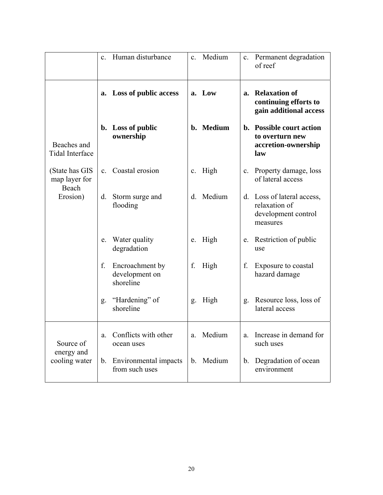|                                          | $\mathbf{c}$ . | Human disturbance                              | C <sub>1</sub> | Medium    |                | c. Permanent degradation<br>of reef                                            |
|------------------------------------------|----------------|------------------------------------------------|----------------|-----------|----------------|--------------------------------------------------------------------------------|
|                                          | a.             | <b>Loss of public access</b>                   |                | a. Low    | a.             | <b>Relaxation of</b><br>continuing efforts to<br>gain additional access        |
| Beaches and<br><b>Tidal Interface</b>    |                | b. Loss of public<br>ownership                 |                | b. Medium |                | b. Possible court action<br>to overturn new<br>accretion-ownership<br>law      |
| (State has GIS<br>map layer for<br>Beach | $\mathbf{c}$ . | Coastal erosion                                |                | c. High   | $\mathbf{c}$ . | Property damage, loss<br>of lateral access                                     |
| Erosion)                                 | d.             | Storm surge and<br>flooding                    | d.             | Medium    |                | d. Loss of lateral access,<br>relaxation of<br>development control<br>measures |
|                                          | e.             | Water quality<br>degradation                   | e.             | High      | e.             | Restriction of public<br>use                                                   |
|                                          | f.             | Encroachment by<br>development on<br>shoreline | f.             | High      | f.             | Exposure to coastal<br>hazard damage                                           |
|                                          | g.             | "Hardening" of<br>shoreline                    | g.             | High      | g.             | Resource loss, loss of<br>lateral access                                       |
| Source of                                | a.             | Conflicts with other<br>ocean uses             |                | a. Medium | a.             | Increase in demand for<br>such uses                                            |
| energy and<br>cooling water              |                | b. Environmental impacts<br>from such uses     |                | b. Medium | b.             | Degradation of ocean<br>environment                                            |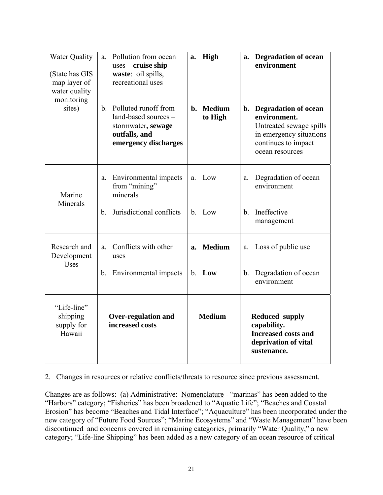| <b>Water Quality</b><br>(State has GIS<br>map layer of<br>water quality<br>monitoring | Pollution from ocean<br>a.<br>$uses - cruise ship$<br>waste: oil spills,<br>recreational uses                                 | High<br>a.                     | a. Degradation of ocean<br>environment                                                                                                  |
|---------------------------------------------------------------------------------------|-------------------------------------------------------------------------------------------------------------------------------|--------------------------------|-----------------------------------------------------------------------------------------------------------------------------------------|
| sites)                                                                                | Polluted runoff from<br>$\mathbf{b}$ .<br>land-based sources -<br>stormwater, sewage<br>outfalls, and<br>emergency discharges | <b>Medium</b><br>h.<br>to High | b. Degradation of ocean<br>environment.<br>Untreated sewage spills<br>in emergency situations<br>continues to impact<br>ocean resources |
| Marine<br>Minerals                                                                    | Environmental impacts<br>a.<br>from "mining"<br>minerals                                                                      | Low<br>a                       | Degradation of ocean<br>a.<br>environment                                                                                               |
|                                                                                       | Jurisdictional conflicts<br>$b_{\cdot}$                                                                                       | b. Low                         | Ineffective<br>b <sub>1</sub><br>management                                                                                             |
| Research and<br>Development                                                           | Conflicts with other<br>a.<br>uses                                                                                            | <b>Medium</b><br>a.            | Loss of public use<br>a.                                                                                                                |
| <b>Uses</b>                                                                           | Environmental impacts<br>b.                                                                                                   | b. Low                         | Degradation of ocean<br>$b_{\cdot}$<br>environment                                                                                      |
| "Life-line"<br>shipping<br>supply for<br>Hawaii                                       | <b>Over-regulation and</b><br>increased costs                                                                                 | <b>Medium</b>                  | <b>Reduced supply</b><br>capability.<br><b>Increased costs and</b><br>deprivation of vital<br>sustenance.                               |

#### 2. Changes in resources or relative conflicts/threats to resource since previous assessment.

Changes are as follows: (a) Administrative: Nomenclature - "marinas" has been added to the "Harbors" category; "Fisheries" has been broadened to "Aquatic Life"; "Beaches and Coastal Erosion" has become "Beaches and Tidal Interface"; "Aquaculture" has been incorporated under the new category of "Future Food Sources"; "Marine Ecosystems" and "Waste Management" have been discontinued and concerns covered in remaining categories, primarily "Water Quality," a new category; "Life-line Shipping" has been added as a new category of an ocean resource of critical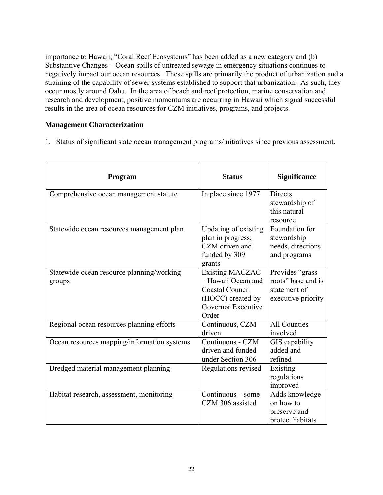importance to Hawaii; "Coral Reef Ecosystems" has been added as a new category and (b) Substantive Changes – Ocean spills of untreated sewage in emergency situations continues to negatively impact our ocean resources. These spills are primarily the product of urbanization and a straining of the capability of sewer systems established to support that urbanization. As such, they occur mostly around Oahu. In the area of beach and reef protection, marine conservation and research and development, positive momentums are occurring in Hawaii which signal successful results in the area of ocean resources for CZM initiatives, programs, and projects.

#### **Management Characterization**

1. Status of significant state ocean management programs/initiatives since previous assessment.

| <b>Program</b>                                      | <b>Status</b>                                                                                                       | <b>Significance</b>                                                          |
|-----------------------------------------------------|---------------------------------------------------------------------------------------------------------------------|------------------------------------------------------------------------------|
| Comprehensive ocean management statute              | In place since 1977                                                                                                 | <b>Directs</b><br>stewardship of<br>this natural<br>resource                 |
| Statewide ocean resources management plan           | Updating of existing<br>plan in progress,<br>CZM driven and<br>funded by 309<br>grants                              | Foundation for<br>stewardship<br>needs, directions<br>and programs           |
| Statewide ocean resource planning/working<br>groups | <b>Existing MACZAC</b><br>- Hawaii Ocean and<br>Coastal Council<br>(HOCC) created by<br>Governor Executive<br>Order | Provides "grass-<br>roots" base and is<br>statement of<br>executive priority |
| Regional ocean resources planning efforts           | Continuous, CZM<br>driven                                                                                           | <b>All Counties</b><br>involved                                              |
| Ocean resources mapping/information systems         | Continuous - CZM<br>driven and funded<br>under Section 306                                                          | GIS capability<br>added and<br>refined                                       |
| Dredged material management planning                | Regulations revised                                                                                                 | Existing<br>regulations<br>improved                                          |
| Habitat research, assessment, monitoring            | Continuous - some<br>CZM 306 assisted                                                                               | Adds knowledge<br>on how to<br>preserve and<br>protect habitats              |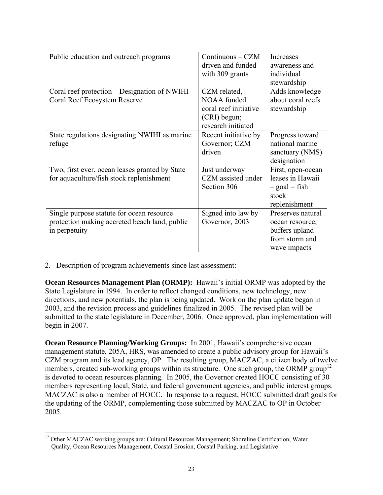| Public education and outreach programs                                                                      | Continuous – CZM<br>driven and funded<br>with 309 grants                                   | Increases<br>awareness and<br>individual<br>stewardship                                  |
|-------------------------------------------------------------------------------------------------------------|--------------------------------------------------------------------------------------------|------------------------------------------------------------------------------------------|
| Coral reef protection – Designation of NWIHI<br>Coral Reef Ecosystem Reserve                                | CZM related,<br>NOAA funded<br>coral reef initiative<br>(CRI) begun;<br>research initiated | Adds knowledge<br>about coral reefs<br>stewardship                                       |
| State regulations designating NWIHI as marine<br>refuge                                                     | Recent initiative by<br>Governor; CZM<br>driven                                            | Progress toward<br>national marine<br>sanctuary (NMS)<br>designation                     |
| Two, first ever, ocean leases granted by State<br>for aquaculture/fish stock replenishment                  | Just underway -<br>CZM assisted under<br>Section 306                                       | First, open-ocean<br>leases in Hawaii<br>$-$ goal = fish<br>stock<br>replenishment       |
| Single purpose statute for ocean resource<br>protection making accreted beach land, public<br>in perpetuity | Signed into law by<br>Governor, 2003                                                       | Preserves natural<br>ocean resource,<br>buffers upland<br>from storm and<br>wave impacts |

2. Description of program achievements since last assessment:

 $\overline{a}$ 

**Ocean Resources Management Plan (ORMP):** Hawaii's initial ORMP was adopted by the State Legislature in 1994. In order to reflect changed conditions, new technology, new directions, and new potentials, the plan is being updated. Work on the plan update began in 2003, and the revision process and guidelines finalized in 2005. The revised plan will be submitted to the state legislature in December, 2006. Once approved, plan implementation will begin in 2007.

**Ocean Resource Planning/Working Groups:** In 2001, Hawaii's comprehensive ocean management statute, 205A, HRS, was amended to create a public advisory group for Hawaii's CZM program and its lead agency, OP. The resulting group, MACZAC, a citizen body of twelve members, created sub-working groups within its structure. One such group, the ORMP group<sup>12</sup> is devoted to ocean resources planning. In 2005, the Governor created HOCC consisting of 30 members representing local, State, and federal government agencies, and public interest groups. MACZAC is also a member of HOCC. In response to a request, HOCC submitted draft goals for the updating of the ORMP, complementing those submitted by MACZAC to OP in October 2005.

<sup>&</sup>lt;sup>12</sup> Other MACZAC working groups are: Cultural Resources Management; Shoreline Certification; Water Quality, Ocean Resources Management, Coastal Erosion, Coastal Parking, and Legislative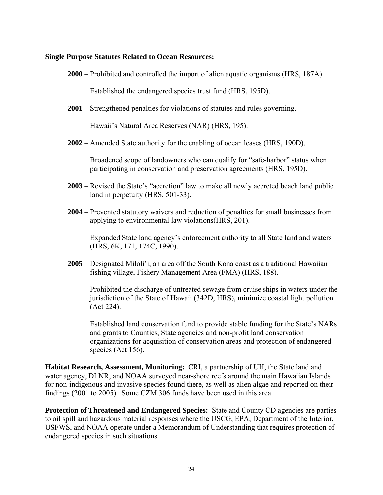#### **Single Purpose Statutes Related to Ocean Resources:**

**2000** – Prohibited and controlled the import of alien aquatic organisms (HRS, 187A).

Established the endangered species trust fund (HRS, 195D).

**2001** – Strengthened penalties for violations of statutes and rules governing.

Hawaii's Natural Area Reserves (NAR) (HRS, 195).

**2002** – Amended State authority for the enabling of ocean leases (HRS, 190D).

Broadened scope of landowners who can qualify for "safe-harbor" status when participating in conservation and preservation agreements (HRS, 195D).

- **2003** Revised the State's "accretion" law to make all newly accreted beach land public land in perpetuity (HRS, 501-33).
- **2004** Prevented statutory waivers and reduction of penalties for small businesses from applying to environmental law violations(HRS, 201).

Expanded State land agency's enforcement authority to all State land and waters (HRS, 6K, 171, 174C, 1990).

**2005** – Designated Miloli'i, an area off the South Kona coast as a traditional Hawaiian fishing village, Fishery Management Area (FMA) (HRS, 188).

Prohibited the discharge of untreated sewage from cruise ships in waters under the jurisdiction of the State of Hawaii (342D, HRS), minimize coastal light pollution (Act 224).

Established land conservation fund to provide stable funding for the State's NARs and grants to Counties, State agencies and non-profit land conservation organizations for acquisition of conservation areas and protection of endangered species (Act 156).

**Habitat Research, Assessment, Monitoring:** CRI, a partnership of UH, the State land and water agency, DLNR, and NOAA surveyed near-shore reefs around the main Hawaiian Islands for non-indigenous and invasive species found there, as well as alien algae and reported on their findings (2001 to 2005). Some CZM 306 funds have been used in this area.

**Protection of Threatened and Endangered Species:** State and County CD agencies are parties to oil spill and hazardous material responses where the USCG, EPA, Department of the Interior, USFWS, and NOAA operate under a Memorandum of Understanding that requires protection of endangered species in such situations.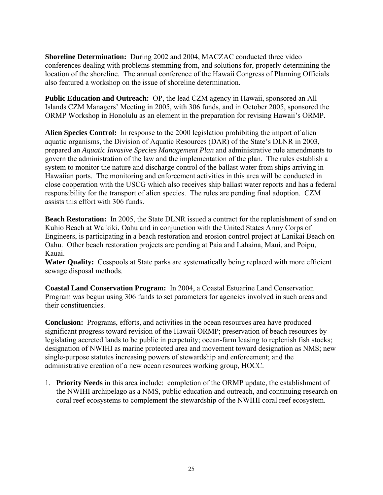**Shoreline Determination:** During 2002 and 2004, MACZAC conducted three video conferences dealing with problems stemming from, and solutions for, properly determining the location of the shoreline. The annual conference of the Hawaii Congress of Planning Officials also featured a workshop on the issue of shoreline determination.

**Public Education and Outreach:** OP, the lead CZM agency in Hawaii, sponsored an All-Islands CZM Managers' Meeting in 2005, with 306 funds, and in October 2005, sponsored the ORMP Workshop in Honolulu as an element in the preparation for revising Hawaii's ORMP.

**Alien Species Control:** In response to the 2000 legislation prohibiting the import of alien aquatic organisms, the Division of Aquatic Resources (DAR) of the State's DLNR in 2003, prepared an *Aquatic Invasive Species Management Plan* and administrative rule amendments to govern the administration of the law and the implementation of the plan. The rules establish a system to monitor the nature and discharge control of the ballast water from ships arriving in Hawaiian ports. The monitoring and enforcement activities in this area will be conducted in close cooperation with the USCG which also receives ship ballast water reports and has a federal responsibility for the transport of alien species. The rules are pending final adoption. CZM assists this effort with 306 funds.

**Beach Restoration:** In 2005, the State DLNR issued a contract for the replenishment of sand on Kuhio Beach at Waikiki, Oahu and in conjunction with the United States Army Corps of Engineers, is participating in a beach restoration and erosion control project at Lanikai Beach on Oahu. Other beach restoration projects are pending at Paia and Lahaina, Maui, and Poipu, Kauai.

**Water Quality:** Cesspools at State parks are systematically being replaced with more efficient sewage disposal methods.

**Coastal Land Conservation Program:** In 2004, a Coastal Estuarine Land Conservation Program was begun using 306 funds to set parameters for agencies involved in such areas and their constituencies.

**Conclusion:** Programs, efforts, and activities in the ocean resources area have produced significant progress toward revision of the Hawaii ORMP; preservation of beach resources by legislating accreted lands to be public in perpetuity; ocean-farm leasing to replenish fish stocks; designation of NWIHI as marine protected area and movement toward designation as NMS; new single-purpose statutes increasing powers of stewardship and enforcement; and the administrative creation of a new ocean resources working group, HOCC.

1. **Priority Needs** in this area include: completion of the ORMP update, the establishment of the NWIHI archipelago as a NMS, public education and outreach, and continuing research on coral reef ecosystems to complement the stewardship of the NWIHI coral reef ecosystem.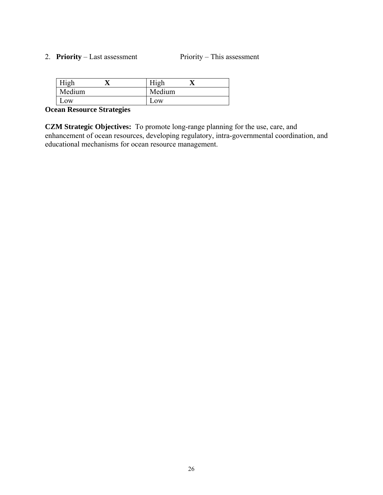#### 2. **Priority** – Last assessment Priority – This assessment

| High   |        |
|--------|--------|
| Medium | Medium |
| LOW    | $L$ OW |

## **Ocean Resource Strategies**

**CZM Strategic Objectives:** To promote long-range planning for the use, care, and enhancement of ocean resources, developing regulatory, intra-governmental coordination, and educational mechanisms for ocean resource management.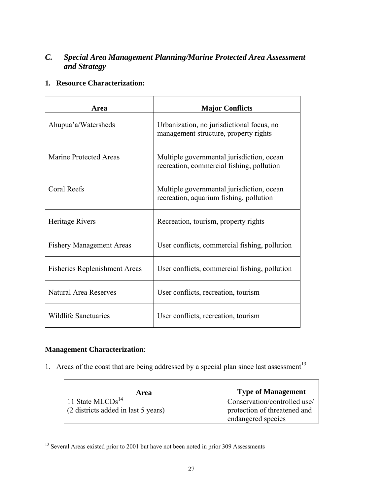## *C. Special Area Management Planning/Marine Protected Area Assessment and Strategy*

#### **1. Resource Characterization:**

| Area                                 | <b>Major Conflicts</b>                                                                 |
|--------------------------------------|----------------------------------------------------------------------------------------|
| Ahupua'a/Watersheds                  | Urbanization, no jurisdictional focus, no<br>management structure, property rights     |
| <b>Marine Protected Areas</b>        | Multiple governmental jurisdiction, ocean<br>recreation, commercial fishing, pollution |
| Coral Reefs                          | Multiple governmental jurisdiction, ocean<br>recreation, aquarium fishing, pollution   |
| Heritage Rivers                      | Recreation, tourism, property rights                                                   |
| <b>Fishery Management Areas</b>      | User conflicts, commercial fishing, pollution                                          |
| <b>Fisheries Replenishment Areas</b> | User conflicts, commercial fishing, pollution                                          |
| <b>Natural Area Reserves</b>         | User conflicts, recreation, tourism                                                    |
| <b>Wildlife Sanctuaries</b>          | User conflicts, recreation, tourism                                                    |

#### **Management Characterization**:

 $\blacksquare$ 

1. Areas of the coast that are being addressed by a special plan since last assessment $13$ 

| Area                                        | <b>Type of Management</b>    |
|---------------------------------------------|------------------------------|
| $11$ State MLCDs <sup>14</sup>              | Conservation/controlled use/ |
| $\vert$ (2 districts added in last 5 years) | protection of threatened and |
|                                             | endangered species           |

 $\overline{\phantom{0}}$ 

 $\overline{a}$ <sup>13</sup> Several Areas existed prior to 2001 but have not been noted in prior 309 Assessments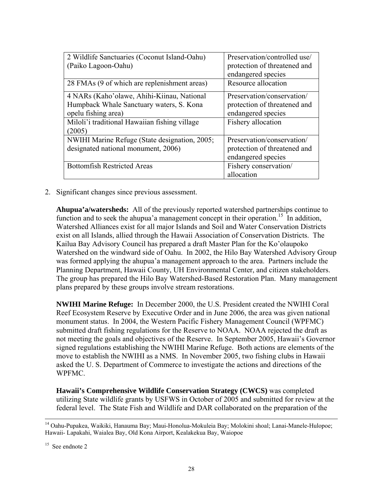| 2 Wildlife Sanctuaries (Coconut Island-Oahu)  | Preservation/controlled use/ |
|-----------------------------------------------|------------------------------|
| (Paiko Lagoon-Oahu)                           | protection of threatened and |
|                                               | endangered species           |
| 28 FMAs (9 of which are replenishment areas)  | Resource allocation          |
| 4 NARs (Kaho'olawe, Ahihi-Kiinau, National    | Preservation/conservation/   |
| Humpback Whale Sanctuary waters, S. Kona      | protection of threatened and |
| opelu fishing area)                           | endangered species           |
| Miloli'i traditional Hawaiian fishing village | Fishery allocation           |
| (2005)                                        |                              |
| NWIHI Marine Refuge (State designation, 2005; | Preservation/conservation/   |
| designated national monument, 2006)           | protection of threatened and |
|                                               | endangered species           |
| <b>Bottomfish Restricted Areas</b>            | Fishery conservation/        |
|                                               | allocation                   |

2. Significant changes since previous assessment.

**Ahupua'a/watersheds:** All of the previously reported watershed partnerships continue to function and to seek the ahupua'a management concept in their operation.<sup>15</sup> In addition, Watershed Alliances exist for all major Islands and Soil and Water Conservation Districts exist on all Islands, allied through the Hawaii Association of Conservation Districts. The Kailua Bay Advisory Council has prepared a draft Master Plan for the Ko'olaupoko Watershed on the windward side of Oahu. In 2002, the Hilo Bay Watershed Advisory Group was formed applying the ahupua'a management approach to the area. Partners include the Planning Department, Hawaii County, UH Environmental Center, and citizen stakeholders. The group has prepared the Hilo Bay Watershed-Based Restoration Plan. Many management plans prepared by these groups involve stream restorations.

**NWIHI Marine Refuge:** In December 2000, the U.S. President created the NWIHI Coral Reef Ecosystem Reserve by Executive Order and in June 2006, the area was given national monument status. In 2004, the Western Pacific Fishery Management Council (WPFMC) submitted draft fishing regulations for the Reserve to NOAA. NOAA rejected the draft as not meeting the goals and objectives of the Reserve. In September 2005, Hawaii's Governor signed regulations establishing the NWIHI Marine Refuge. Both actions are elements of the move to establish the NWIHI as a NMS. In November 2005, two fishing clubs in Hawaii asked the U. S. Department of Commerce to investigate the actions and directions of the WPFMC.

**Hawaii's Comprehensive Wildlife Conservation Strategy (CWCS)** was completed utilizing State wildlife grants by USFWS in October of 2005 and submitted for review at the federal level. The State Fish and Wildlife and DAR collaborated on the preparation of the

 $\overline{a}$ 

<sup>&</sup>lt;sup>14</sup> Oahu-Pupakea, Waikiki, Hanauma Bay; Maui-Honolua-Mokuleia Bay; Molokini shoal; Lanai-Manele-Hulopoe; Hawaii- Lapakahi, Waialea Bay, Old Kona Airport, Kealakekua Bay, Waiopoe

<sup>&</sup>lt;sup>15</sup> See endnote 2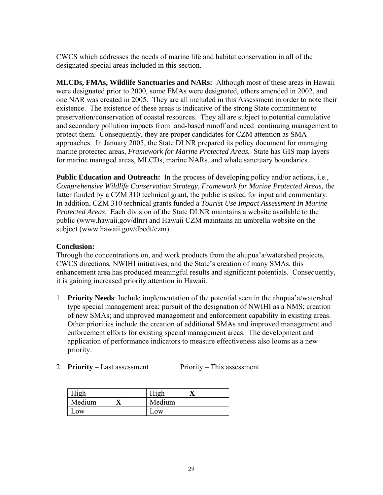CWCS which addresses the needs of marine life and habitat conservation in all of the designated special areas included in this section.

**MLCDs, FMAs, Wildlife Sanctuaries and NARs:** Although most of these areas in Hawaii were designated prior to 2000, some FMAs were designated, others amended in 2002, and one NAR was created in 2005. They are all included in this Assessment in order to note their existence. The existence of these areas is indicative of the strong State commitment to preservation/conservation of coastal resources. They all are subject to potential cumulative and secondary pollution impacts from land-based runoff and need continuing management to protect them. Consequently, they are proper candidates for CZM attention as SMA approaches. In January 2005, the State DLNR prepared its policy document for managing marine protected areas, *Framework for Marine Protected Areas.* State has GIS map layers for marine managed areas, MLCDs, marine NARs, and whale sanctuary boundaries.

**Public Education and Outreach:** In the process of developing policy and/or actions, i.e., *Comprehensive Wildlife Conservation Strategy, Framework for Marine Protected Areas,* the latter funded by a CZM 310 technical grant, the public is asked for input and commentary. In addition, CZM 310 technical grants funded a *Tourist Use Impact Assessment In Marine Protected Areas*. Each division of the State DLNR maintains a website available to the public (www.hawaii.gov/dlnr) and Hawaii CZM maintains an umbrella website on the subject (www.hawaii.gov/dbedt/czm).

#### **Conclusion:**

Through the concentrations on, and work products from the ahupua'a/watershed projects, CWCS directions, NWIHI initiatives, and the State's creation of many SMAs, this enhancement area has produced meaningful results and significant potentials. Consequently, it is gaining increased priority attention in Hawaii.

- 1. **Priority Needs**: Include implementation of the potential seen in the ahupua'a/watershed type special management area; pursuit of the designation of NWIHI as a NMS; creation of new SMAs; and improved management and enforcement capability in existing areas. Other priorities include the creation of additional SMAs and improved management and enforcement efforts for existing special management areas. The development and application of performance indicators to measure effectiveness also looms as a new priority.
- 2. **Priority** Last assessment Priority This assessment

| High   | High   |
|--------|--------|
| Medium | Medium |
| Low    | LOW    |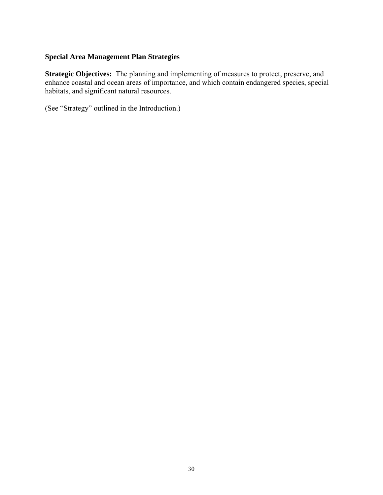#### **Special Area Management Plan Strategies**

**Strategic Objectives:** The planning and implementing of measures to protect, preserve, and enhance coastal and ocean areas of importance, and which contain endangered species, special habitats, and significant natural resources.

(See "Strategy" outlined in the Introduction.)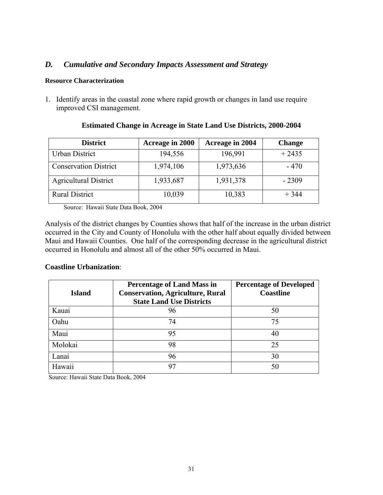#### *D. Cumulative and Secondary Impacts Assessment and Strategy*

#### **Resource Characterization**

1. Identify areas in the coastal zone where rapid growth or changes in land use require improved CSI management.

| <b>District</b>              | Acreage in 2000 | Acreage in 2004 | <b>Change</b> |
|------------------------------|-----------------|-----------------|---------------|
| Urban District               | 194,556         | 196,991         | $+2435$       |
| <b>Conservation District</b> | 1,974,106       | 1,973,636       | $-470$        |
| <b>Agricultural District</b> | 1,933,687       | 1,931,378       | $-2309$       |
| <b>Rural District</b>        | 10,039          | 10,383          | $+344$        |

#### **Estimated Change in Acreage in State Land Use Districts, 2000-2004**

Source: Hawaii State Data Book, 2004

Analysis of the district changes by Counties shows that half of the increase in the urban district occurred in the City and County of Honolulu with the other half about equally divided between Maui and Hawaii Counties. One half of the corresponding decrease in the agricultural district occurred in Honolulu and almost all of the other 50% occurred in Maui.

#### **Coastline Urbanization**:

| <b>Island</b> | <b>Percentage of Land Mass in</b><br><b>Conservation, Agriculture, Rural</b><br><b>State Land Use Districts</b> | <b>Percentage of Developed</b><br><b>Coastline</b> |
|---------------|-----------------------------------------------------------------------------------------------------------------|----------------------------------------------------|
| Kauai         | 96                                                                                                              | 50                                                 |
| Oahu          | 74                                                                                                              | 75                                                 |
| Maui          | 95                                                                                                              | 40                                                 |
| Molokai       | 98                                                                                                              | 25                                                 |
| Lanai         | 96                                                                                                              | 30                                                 |
| Hawaii        | 97                                                                                                              | 50                                                 |

Source: Hawaii State Data Book, 2004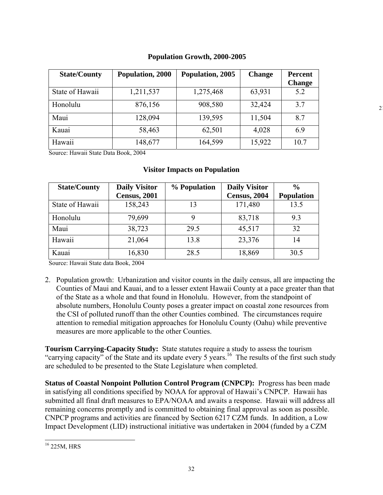| <b>State/County</b> | Population, 2000 | Population, 2005 | <b>Change</b> | <b>Percent</b> |
|---------------------|------------------|------------------|---------------|----------------|
|                     |                  |                  |               | <b>Change</b>  |
| State of Hawaii     | 1,211,537        | 1,275,468        | 63,931        | 5.2            |
| Honolulu            | 876,156          | 908,580          | 32,424        | 3.7            |
| Maui                | 128,094          | 139,595          | 11,504        | 8.7            |
| Kauai               | 58,463           | 62,501           | 4,028         | 6.9            |
| Hawaii              | 148,677          | 164,599          | 15,922        | 10.7           |

#### **Population Growth, 2000-2005**

 $\mathcal{I}$ 

Source: Hawaii State Data Book, 2004

#### **Visitor Impacts on Population**

| <b>State/County</b> | <b>Daily Visitor</b> | % Population | <b>Daily Visitor</b> | $\frac{6}{9}$     |
|---------------------|----------------------|--------------|----------------------|-------------------|
|                     | <b>Census</b> , 2001 |              | Census, 2004         | <b>Population</b> |
| State of Hawaii     | 158,243              | 13           | 171,480              | 13.5              |
| Honolulu            | 79,699               | 9            | 83,718               | 9.3               |
| Maui                | 38,723               | 29.5         | 45,517               | 32                |
| Hawaii              | 21,064               | 13.8         | 23,376               | 14                |
| Kauai               | 16,830               | 28.5         | 18,869               | 30.5              |

Source: Hawaii State data Book, 2004

2. Population growth: Urbanization and visitor counts in the daily census, all are impacting the Counties of Maui and Kauai, and to a lesser extent Hawaii County at a pace greater than that of the State as a whole and that found in Honolulu. However, from the standpoint of absolute numbers, Honolulu County poses a greater impact on coastal zone resources from the CSI of polluted runoff than the other Counties combined. The circumstances require attention to remedial mitigation approaches for Honolulu County (Oahu) while preventive measures are more applicable to the other Counties.

**Tourism Carrying-Capacity Study:** State statutes require a study to assess the tourism "carrying capacity" of the State and its update every 5 years.<sup>16</sup> The results of the first such study are scheduled to be presented to the State Legislature when completed.

**Status of Coastal Nonpoint Pollution Control Program (CNPCP):** Progress has been made in satisfying all conditions specified by NOAA for approval of Hawaii's CNPCP. Hawaii has submitted all final draft measures to EPA/NOAA and awaits a response. Hawaii will address all remaining concerns promptly and is committed to obtaining final approval as soon as possible. CNPCP programs and activities are financed by Section 6217 CZM funds. In addition, a Low Impact Development (LID) instructional initiative was undertaken in 2004 (funded by a CZM

 $\overline{a}$ 16 225M, HRS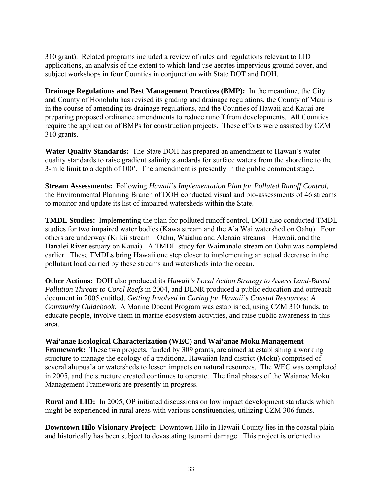310 grant). Related programs included a review of rules and regulations relevant to LID applications, an analysis of the extent to which land use aerates impervious ground cover, and subject workshops in four Counties in conjunction with State DOT and DOH.

**Drainage Regulations and Best Management Practices (BMP):** In the meantime, the City and County of Honolulu has revised its grading and drainage regulations, the County of Maui is in the course of amending its drainage regulations, and the Counties of Hawaii and Kauai are preparing proposed ordinance amendments to reduce runoff from developments. All Counties require the application of BMPs for construction projects. These efforts were assisted by CZM 310 grants.

**Water Quality Standards:** The State DOH has prepared an amendment to Hawaii's water quality standards to raise gradient salinity standards for surface waters from the shoreline to the 3-mile limit to a depth of 100'. The amendment is presently in the public comment stage.

**Stream Assessments:** Following *Hawaii's Implementation Plan for Polluted Runoff Control,* the Environmental Planning Branch of DOH conducted visual and bio-assessments of 46 streams to monitor and update its list of impaired watersheds within the State.

**TMDL Studies:** Implementing the plan for polluted runoff control, DOH also conducted TMDL studies for two impaired water bodies (Kawa stream and the Ala Wai watershed on Oahu). Four others are underway (Kiikii stream – Oahu, Waialua and Alenaio streams – Hawaii, and the Hanalei River estuary on Kauai). A TMDL study for Waimanalo stream on Oahu was completed earlier. These TMDLs bring Hawaii one step closer to implementing an actual decrease in the pollutant load carried by these streams and watersheds into the ocean.

**Other Actions:** DOH also produced its *Hawaii's Local Action Strategy to Assess Land-Based Pollution Threats to Coral Reefs* in 2004, and DLNR produced a public education and outreach document in 2005 entitled, *Getting Involved in Caring for Hawaii's Coastal Resources: A Community Guidebook.* A Marine Docent Program was established, using CZM 310 funds, to educate people, involve them in marine ecosystem activities, and raise public awareness in this area.

**Wai'anae Ecological Characterization (WEC) and Wai'anae Moku Management Framework:** These two projects, funded by 309 grants, are aimed at establishing a working structure to manage the ecology of a traditional Hawaiian land district (Moku) comprised of several ahupua'a or watersheds to lessen impacts on natural resources. The WEC was completed in 2005, and the structure created continues to operate. The final phases of the Waianae Moku Management Framework are presently in progress.

**Rural and LID:** In 2005, OP initiated discussions on low impact development standards which might be experienced in rural areas with various constituencies, utilizing CZM 306 funds.

**Downtown Hilo Visionary Project:** Downtown Hilo in Hawaii County lies in the coastal plain and historically has been subject to devastating tsunami damage. This project is oriented to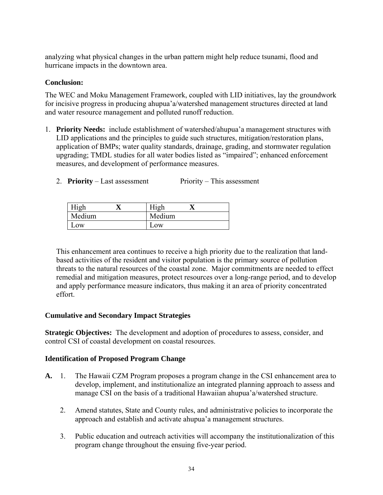analyzing what physical changes in the urban pattern might help reduce tsunami, flood and hurricane impacts in the downtown area.

#### **Conclusion:**

The WEC and Moku Management Framework, coupled with LID initiatives, lay the groundwork for incisive progress in producing ahupua'a/watershed management structures directed at land and water resource management and polluted runoff reduction.

- 1. **Priority Needs:** include establishment of watershed/ahupua'a management structures with LID applications and the principles to guide such structures, mitigation/restoration plans, application of BMPs; water quality standards, drainage, grading, and stormwater regulation upgrading; TMDL studies for all water bodies listed as "impaired"; enhanced enforcement measures, and development of performance measures.
	- 2. **Priority** Last assessment Priority This assessment

| High   | <b>High</b> |  |
|--------|-------------|--|
| Medium | Medium      |  |
| Low    | Low         |  |

This enhancement area continues to receive a high priority due to the realization that landbased activities of the resident and visitor population is the primary source of pollution threats to the natural resources of the coastal zone. Major commitments are needed to effect remedial and mitigation measures, protect resources over a long-range period, and to develop and apply performance measure indicators, thus making it an area of priority concentrated effort.

#### **Cumulative and Secondary Impact Strategies**

**Strategic Objectives:** The development and adoption of procedures to assess, consider, and control CSI of coastal development on coastal resources.

#### **Identification of Proposed Program Change**

- **A.** 1. The Hawaii CZM Program proposes a program change in the CSI enhancement area to develop, implement, and institutionalize an integrated planning approach to assess and manage CSI on the basis of a traditional Hawaiian ahupua'a/watershed structure.
	- 2. Amend statutes, State and County rules, and administrative policies to incorporate the approach and establish and activate ahupua'a management structures.
	- 3. Public education and outreach activities will accompany the institutionalization of this program change throughout the ensuing five-year period.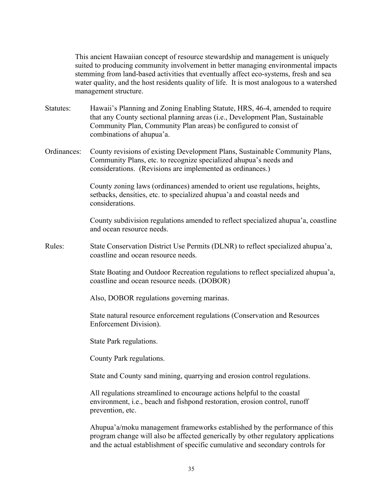This ancient Hawaiian concept of resource stewardship and management is uniquely suited to producing community involvement in better managing environmental impacts stemming from land-based activities that eventually affect eco-systems, fresh and sea water quality, and the host residents quality of life. It is most analogous to a watershed management structure.

- Statutes: Hawaii's Planning and Zoning Enabling Statute, HRS, 46-4, amended to require that any County sectional planning areas (i.e., Development Plan, Sustainable Community Plan, Community Plan areas) be configured to consist of combinations of ahupua'a.
- Ordinances: County revisions of existing Development Plans, Sustainable Community Plans, Community Plans, etc. to recognize specialized ahupua's needs and considerations. (Revisions are implemented as ordinances.)

County zoning laws (ordinances) amended to orient use regulations, heights, setbacks, densities, etc. to specialized ahupua'a and coastal needs and considerations.

 County subdivision regulations amended to reflect specialized ahupua'a, coastline and ocean resource needs.

Rules: State Conservation District Use Permits (DLNR) to reflect specialized ahupua'a, coastline and ocean resource needs.

> State Boating and Outdoor Recreation regulations to reflect specialized ahupua'a, coastline and ocean resource needs. (DOBOR)

Also, DOBOR regulations governing marinas.

State natural resource enforcement regulations (Conservation and Resources Enforcement Division).

State Park regulations.

County Park regulations.

State and County sand mining, quarrying and erosion control regulations.

All regulations streamlined to encourage actions helpful to the coastal environment, i.e., beach and fishpond restoration, erosion control, runoff prevention, etc.

Ahupua'a/moku management frameworks established by the performance of this program change will also be affected generically by other regulatory applications and the actual establishment of specific cumulative and secondary controls for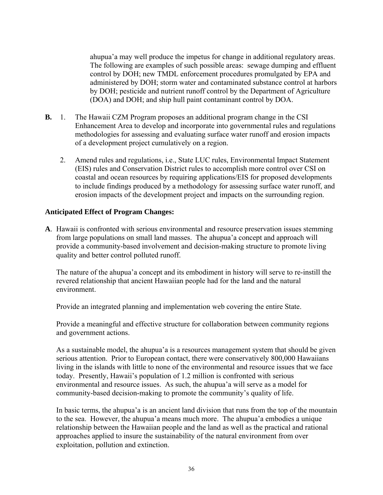ahupua'a may well produce the impetus for change in additional regulatory areas. The following are examples of such possible areas: sewage dumping and effluent control by DOH; new TMDL enforcement procedures promulgated by EPA and administered by DOH; storm water and contaminated substance control at harbors by DOH; pesticide and nutrient runoff control by the Department of Agriculture (DOA) and DOH; and ship hull paint contaminant control by DOA.

- **B.** 1. The Hawaii CZM Program proposes an additional program change in the CSI Enhancement Area to develop and incorporate into governmental rules and regulations methodologies for assessing and evaluating surface water runoff and erosion impacts of a development project cumulatively on a region.
	- 2. Amend rules and regulations, i.e., State LUC rules, Environmental Impact Statement (EIS) rules and Conservation District rules to accomplish more control over CSI on coastal and ocean resources by requiring applications/EIS for proposed developments to include findings produced by a methodology for assessing surface water runoff, and erosion impacts of the development project and impacts on the surrounding region.

#### **Anticipated Effect of Program Changes:**

**A**. Hawaii is confronted with serious environmental and resource preservation issues stemming from large populations on small land masses. The ahupua'a concept and approach will provide a community-based involvement and decision-making structure to promote living quality and better control polluted runoff.

 The nature of the ahupua'a concept and its embodiment in history will serve to re-instill the revered relationship that ancient Hawaiian people had for the land and the natural environment.

Provide an integrated planning and implementation web covering the entire State.

 Provide a meaningful and effective structure for collaboration between community regions and government actions.

 As a sustainable model, the ahupua'a is a resources management system that should be given serious attention. Prior to European contact, there were conservatively 800,000 Hawaiians living in the islands with little to none of the environmental and resource issues that we face today. Presently, Hawaii's population of 1.2 million is confronted with serious environmental and resource issues. As such, the ahupua'a will serve as a model for community-based decision-making to promote the community's quality of life.

 In basic terms, the ahupua'a is an ancient land division that runs from the top of the mountain to the sea. However, the ahupua'a means much more. The ahupua'a embodies a unique relationship between the Hawaiian people and the land as well as the practical and rational approaches applied to insure the sustainability of the natural environment from over exploitation, pollution and extinction.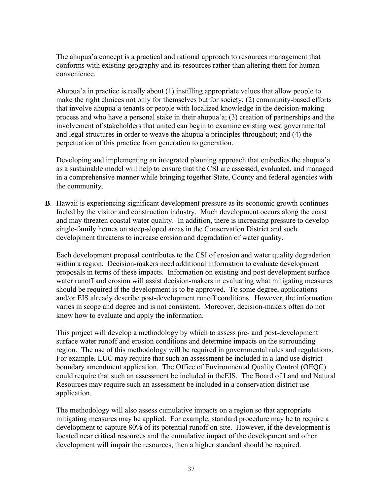The ahupua'a concept is a practical and rational approach to resources management that conforms with existing geography and its resources rather than altering them for human convenience.

 Ahupua'a in practice is really about (1) instilling appropriate values that allow people to make the right choices not only for themselves but for society; (2) community-based efforts that involve ahupua'a tenants or people with localized knowledge in the decision-making process and who have a personal stake in their ahupua'a; (3) creation of partnerships and the involvement of stakeholders that united can begin to examine existing west governmental and legal structures in order to weave the ahupua'a principles throughout; and (4) the perpetuation of this practice from generation to generation.

 Developing and implementing an integrated planning approach that embodies the ahupua'a as a sustainable model will help to ensure that the CSI are assessed, evaluated, and managed in a comprehensive manner while bringing together State, County and federal agencies with the community.

**B**. Hawaii is experiencing significant development pressure as its economic growth continues fueled by the visitor and construction industry. Much development occurs along the coast and may threaten coastal water quality. In addition, there is increasing pressure to develop single-family homes on steep-sloped areas in the Conservation District and such development threatens to increase erosion and degradation of water quality.

 Each development proposal contributes to the CSI of erosion and water quality degradation within a region. Decision-makers need additional information to evaluate development proposals in terms of these impacts. Information on existing and post development surface water runoff and erosion will assist decision-makers in evaluating what mitigating measures should be required if the development is to be approved. To some degree, applications and/or EIS already describe post-development runoff conditions. However, the information varies in scope and degree and is not consistent. Moreover, decision-makers often do not know how to evaluate and apply the information.

 This project will develop a methodology by which to assess pre- and post-development surface water runoff and erosion conditions and determine impacts on the surrounding region. The use of this methodology will be required in governmental rules and regulations. For example, LUC may require that such an assessment be included in a land use district boundary amendment application. The Office of Environmental Quality Control (OEQC) could require that such an assessment be included in theEIS. The Board of Land and Natural Resources may require such an assessment be included in a conservation district use application.

 The methodology will also assess cumulative impacts on a region so that appropriate mitigating measures may be applied. For example, standard procedure may be to require a development to capture 80% of its potential runoff on-site. However, if the development is located near critical resources and the cumulative impact of the development and other development will impair the resources, then a higher standard should be required.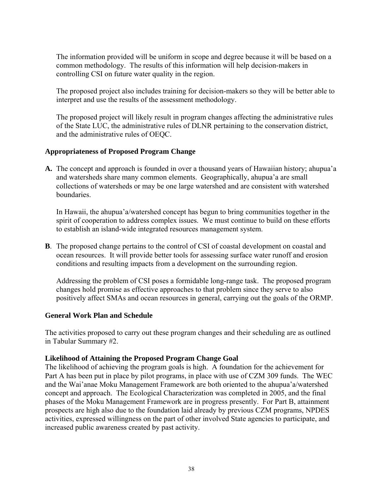The information provided will be uniform in scope and degree because it will be based on a common methodology. The results of this information will help decision-makers in controlling CSI on future water quality in the region.

 The proposed project also includes training for decision-makers so they will be better able to interpret and use the results of the assessment methodology.

 The proposed project will likely result in program changes affecting the administrative rules of the State LUC, the administrative rules of DLNR pertaining to the conservation district, and the administrative rules of OEQC.

#### **Appropriateness of Proposed Program Change**

**A.** The concept and approach is founded in over a thousand years of Hawaiian history; ahupua'a and watersheds share many common elements. Geographically, ahupua'a are small collections of watersheds or may be one large watershed and are consistent with watershed boundaries.

 In Hawaii, the ahupua'a/watershed concept has begun to bring communities together in the spirit of cooperation to address complex issues. We must continue to build on these efforts to establish an island-wide integrated resources management system.

**B**. The proposed change pertains to the control of CSI of coastal development on coastal and ocean resources. It will provide better tools for assessing surface water runoff and erosion conditions and resulting impacts from a development on the surrounding region.

 Addressing the problem of CSI poses a formidable long-range task. The proposed program changes hold promise as effective approaches to that problem since they serve to also positively affect SMAs and ocean resources in general, carrying out the goals of the ORMP.

#### **General Work Plan and Schedule**

The activities proposed to carry out these program changes and their scheduling are as outlined in Tabular Summary #2.

#### **Likelihood of Attaining the Proposed Program Change Goal**

The likelihood of achieving the program goals is high. A foundation for the achievement for Part A has been put in place by pilot programs, in place with use of CZM 309 funds. The WEC and the Wai'anae Moku Management Framework are both oriented to the ahupua'a/watershed concept and approach. The Ecological Characterization was completed in 2005, and the final phases of the Moku Management Framework are in progress presently. For Part B, attainment prospects are high also due to the foundation laid already by previous CZM programs, NPDES activities, expressed willingness on the part of other involved State agencies to participate, and increased public awareness created by past activity.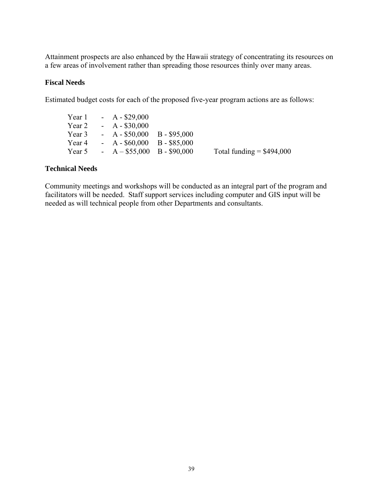Attainment prospects are also enhanced by the Hawaii strategy of concentrating its resources on a few areas of involvement rather than spreading those resources thinly over many areas.

#### **Fiscal Needs**

Estimated budget costs for each of the proposed five-year program actions are as follows:

Year 1 - A - \$29,000<br>Year 2 - A - \$30,000  $-A - $30,000$ Year 3 - A - \$50,000 B - \$95,000 Year 4 - A - \$60,000 B - \$85,000 Year 5 - A –  $$55,000$  B - \$90,000 Total funding = \$494,000

#### **Technical Needs**

Community meetings and workshops will be conducted as an integral part of the program and facilitators will be needed. Staff support services including computer and GIS input will be needed as will technical people from other Departments and consultants.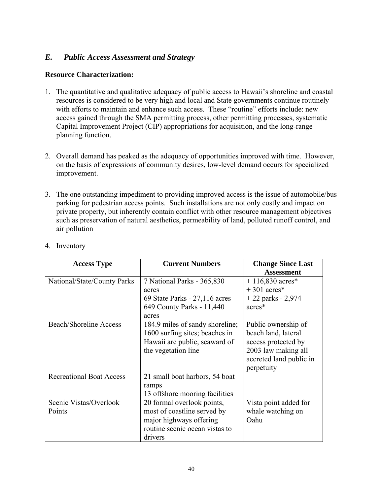#### *E. Public Access Assessment and Strategy*

#### **Resource Characterization:**

- 1. The quantitative and qualitative adequacy of public access to Hawaii's shoreline and coastal resources is considered to be very high and local and State governments continue routinely with efforts to maintain and enhance such access. These "routine" efforts include: new access gained through the SMA permitting process, other permitting processes, systematic Capital Improvement Project (CIP) appropriations for acquisition, and the long-range planning function.
- 2. Overall demand has peaked as the adequacy of opportunities improved with time. However, on the basis of expressions of community desires, low-level demand occurs for specialized improvement.
- 3. The one outstanding impediment to providing improved access is the issue of automobile/bus parking for pedestrian access points. Such installations are not only costly and impact on private property, but inherently contain conflict with other resource management objectives such as preservation of natural aesthetics, permeability of land, polluted runoff control, and air pollution

| <b>Access Type</b>              | <b>Current Numbers</b>          | <b>Change Since Last</b><br><b>Assessment</b> |
|---------------------------------|---------------------------------|-----------------------------------------------|
| National/State/County Parks     | 7 National Parks - 365,830      | $+116,830$ acres*                             |
|                                 | acres                           | $+301$ acres*                                 |
|                                 | 69 State Parks - 27,116 acres   | $+22$ parks - 2,974                           |
|                                 | 649 County Parks - 11,440       | acres*                                        |
|                                 | acres                           |                                               |
| <b>Beach/Shoreline Access</b>   | 184.9 miles of sandy shoreline; | Public ownership of                           |
|                                 | 1600 surfing sites; beaches in  | beach land, lateral                           |
|                                 | Hawaii are public, seaward of   | access protected by                           |
|                                 | the vegetation line             | 2003 law making all                           |
|                                 |                                 | accreted land public in                       |
|                                 |                                 | perpetuity                                    |
| <b>Recreational Boat Access</b> | 21 small boat harbors, 54 boat  |                                               |
|                                 | ramps                           |                                               |
|                                 | 13 offshore mooring facilities  |                                               |
| Scenic Vistas/Overlook          | 20 formal overlook points,      | Vista point added for                         |
| Points                          | most of coastline served by     | whale watching on                             |
|                                 | major highways offering         | Oahu                                          |
|                                 | routine scenic ocean vistas to  |                                               |
|                                 | drivers                         |                                               |

4. Inventory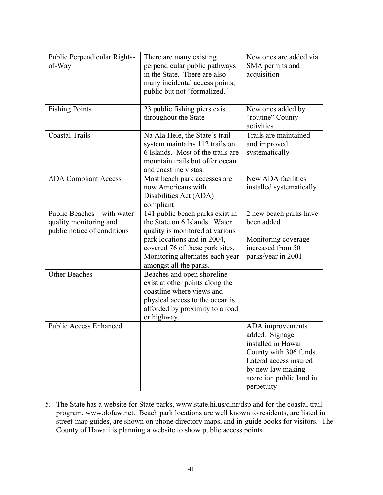| Public Perpendicular Rights-<br>of-Way                                               | There are many existing<br>perpendicular public pathways<br>in the State. There are also<br>many incidental access points,<br>public but not "formalized."                                                                         | New ones are added via<br>SMA permits and<br>acquisition                                                                                                                     |
|--------------------------------------------------------------------------------------|------------------------------------------------------------------------------------------------------------------------------------------------------------------------------------------------------------------------------------|------------------------------------------------------------------------------------------------------------------------------------------------------------------------------|
| <b>Fishing Points</b>                                                                | 23 public fishing piers exist<br>throughout the State                                                                                                                                                                              | New ones added by<br>"routine" County<br>activities                                                                                                                          |
| <b>Coastal Trails</b>                                                                | Na Ala Hele, the State's trail<br>system maintains 112 trails on<br>6 Islands. Most of the trails are<br>mountain trails but offer ocean<br>and coastline vistas.                                                                  | Trails are maintained<br>and improved<br>systematically                                                                                                                      |
| <b>ADA Compliant Access</b>                                                          | Most beach park accesses are<br>now Americans with<br>Disabilities Act (ADA)<br>compliant                                                                                                                                          | New ADA facilities<br>installed systematically                                                                                                                               |
| Public Beaches – with water<br>quality monitoring and<br>public notice of conditions | 141 public beach parks exist in<br>the State on 6 Islands. Water<br>quality is monitored at various<br>park locations and in 2004,<br>covered 76 of these park sites.<br>Monitoring alternates each year<br>amongst all the parks. | 2 new beach parks have<br>been added<br>Monitoring coverage<br>increased from 50<br>parks/year in 2001                                                                       |
| Other Beaches                                                                        | Beaches and open shoreline<br>exist at other points along the<br>coastline where views and<br>physical access to the ocean is<br>afforded by proximity to a road<br>or highway.                                                    |                                                                                                                                                                              |
| <b>Public Access Enhanced</b>                                                        |                                                                                                                                                                                                                                    | ADA improvements<br>added. Signage<br>installed in Hawaii<br>County with 306 funds.<br>Lateral access insured<br>by new law making<br>accretion public land in<br>perpetuity |

5. The State has a website for State parks, www.state.hi.us/dlnr/dsp and for the coastal trail program, www.dofaw.net. Beach park locations are well known to residents, are listed in street-map guides, are shown on phone directory maps, and in-guide books for visitors. The County of Hawaii is planning a website to show public access points.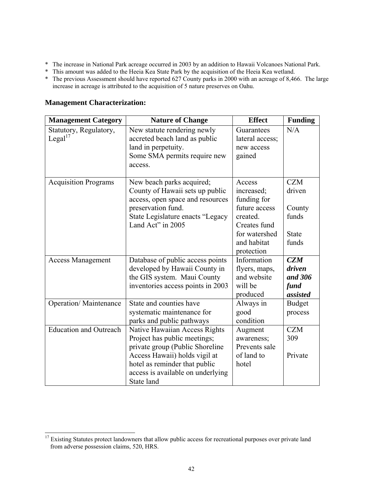- \* The increase in National Park acreage occurred in 2003 by an addition to Hawaii Volcanoes National Park.
- \* This amount was added to the Heeia Kea State Park by the acquisition of the Heeia Kea wetland.
- \* The previous Assessment should have reported 627 County parks in 2000 with an acreage of 8,466. The large increase in acreage is attributed to the acquisition of 5 nature preserves on Oahu.

#### **Management Characterization:**

 $\overline{a}$ 

| <b>Management Category</b>    | <b>Nature of Change</b>           | <b>Effect</b>   | <b>Funding</b> |
|-------------------------------|-----------------------------------|-----------------|----------------|
| Statutory, Regulatory,        | New statute rendering newly       | Guarantees      | N/A            |
| Legal <sup>17</sup>           | accreted beach land as public     | lateral access; |                |
|                               | land in perpetuity.               | new access      |                |
|                               | Some SMA permits require new      | gained          |                |
|                               | access.                           |                 |                |
|                               |                                   |                 |                |
| <b>Acquisition Programs</b>   | New beach parks acquired;         | Access          | <b>CZM</b>     |
|                               | County of Hawaii sets up public   | increased;      | driven         |
|                               | access, open space and resources  | funding for     |                |
|                               | preservation fund.                | future access   | County         |
|                               | State Legislature enacts "Legacy  | created.        | funds          |
|                               | Land Act" in 2005                 | Creates fund    |                |
|                               |                                   | for watershed   | <b>State</b>   |
|                               |                                   | and habitat     | funds          |
|                               |                                   | protection      |                |
| <b>Access Management</b>      | Database of public access points  | Information     | CZM            |
|                               | developed by Hawaii County in     | flyers, maps,   | driven         |
|                               | the GIS system. Maui County       | and website     | and 306        |
|                               | inventories access points in 2003 | will be         | fund           |
|                               |                                   | produced        | assisted       |
| <b>Operation/Maintenance</b>  | State and counties have           | Always in       | <b>Budget</b>  |
|                               | systematic maintenance for        | good            | process        |
|                               | parks and public pathways         | condition       |                |
| <b>Education and Outreach</b> | Native Hawaiian Access Rights     | Augment         | <b>CZM</b>     |
|                               | Project has public meetings;      | awareness;      | 309            |
|                               | private group (Public Shoreline   | Prevents sale   |                |
|                               | Access Hawaii) holds vigil at     | of land to      | Private        |
|                               | hotel as reminder that public     | hotel           |                |
|                               | access is available on underlying |                 |                |
|                               | State land                        |                 |                |

<sup>&</sup>lt;sup>17</sup> Existing Statutes protect landowners that allow public access for recreational purposes over private land from adverse possession claims, 520, HRS.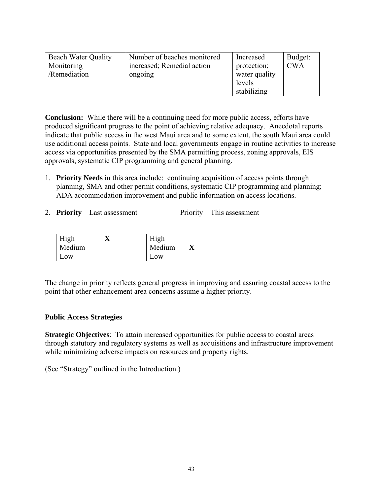| <b>Beach Water Quality</b><br>Monitoring | Number of beaches monitored<br>increased; Remedial action | Increased<br>protection; | Budget:<br><b>CWA</b> |
|------------------------------------------|-----------------------------------------------------------|--------------------------|-----------------------|
| /Remediation                             | ongoing                                                   | water quality            |                       |
|                                          |                                                           | levels                   |                       |
|                                          |                                                           | stabilizing              |                       |

**Conclusion:** While there will be a continuing need for more public access, efforts have produced significant progress to the point of achieving relative adequacy. Anecdotal reports indicate that public access in the west Maui area and to some extent, the south Maui area could use additional access points. State and local governments engage in routine activities to increase access via opportunities presented by the SMA permitting process, zoning approvals, EIS approvals, systematic CIP programming and general planning.

- 1. **Priority Needs** in this area include: continuing acquisition of access points through planning, SMA and other permit conditions, systematic CIP programming and planning; ADA accommodation improvement and public information on access locations.
- 2. **Priority** Last assessment Priority This assessment

| High   | High   |
|--------|--------|
| Medium | Medium |
| .0W    | Low    |

The change in priority reflects general progress in improving and assuring coastal access to the point that other enhancement area concerns assume a higher priority.

#### **Public Access Strategies**

**Strategic Objectives**: To attain increased opportunities for public access to coastal areas through statutory and regulatory systems as well as acquisitions and infrastructure improvement while minimizing adverse impacts on resources and property rights.

(See "Strategy" outlined in the Introduction.)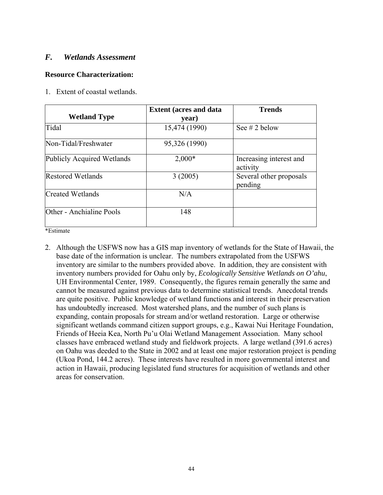#### *F. Wetlands Assessment*

#### **Resource Characterization:**

1. Extent of coastal wetlands.

| <b>Wetland Type</b>        | <b>Extent (acres and data)</b><br>year) | <b>Trends</b>                       |
|----------------------------|-----------------------------------------|-------------------------------------|
| Tidal                      | 15,474 (1990)                           | See $# 2$ below                     |
| Non-Tidal/Freshwater       | 95,326 (1990)                           |                                     |
| Publicly Acquired Wetlands | $2,000*$                                | Increasing interest and<br>activity |
| <b>Restored Wetlands</b>   | 3(2005)                                 | Several other proposals<br>pending  |
| Created Wetlands           | N/A                                     |                                     |
| Other - Anchialine Pools   | 148                                     |                                     |

\*Estimate

2. Although the USFWS now has a GIS map inventory of wetlands for the State of Hawaii, the base date of the information is unclear. The numbers extrapolated from the USFWS inventory are similar to the numbers provided above. In addition, they are consistent with inventory numbers provided for Oahu only by, *Ecologically Sensitive Wetlands on O'ahu*, UH Environmental Center, 1989. Consequently, the figures remain generally the same and cannot be measured against previous data to determine statistical trends. Anecdotal trends are quite positive. Public knowledge of wetland functions and interest in their preservation has undoubtedly increased. Most watershed plans, and the number of such plans is expanding, contain proposals for stream and/or wetland restoration. Large or otherwise significant wetlands command citizen support groups, e.g., Kawai Nui Heritage Foundation, Friends of Heeia Kea, North Pu'u Olai Wetland Management Association. Many school classes have embraced wetland study and fieldwork projects. A large wetland (391.6 acres) on Oahu was deeded to the State in 2002 and at least one major restoration project is pending (Ukoa Pond, 144.2 acres). These interests have resulted in more governmental interest and action in Hawaii, producing legislated fund structures for acquisition of wetlands and other areas for conservation.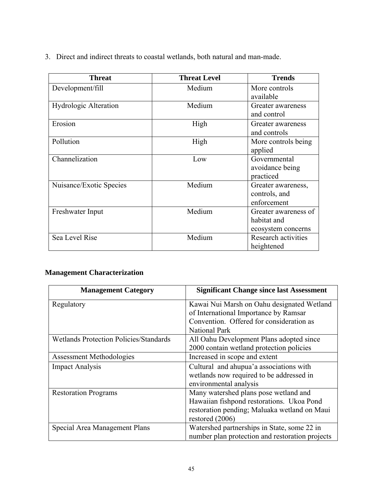3. Direct and indirect threats to coastal wetlands, both natural and man-made.

| <b>Threat</b>           | <b>Threat Level</b> | <b>Trends</b>                                             |
|-------------------------|---------------------|-----------------------------------------------------------|
| Development/fill        | Medium              | More controls<br>available                                |
| Hydrologic Alteration   | Medium              | Greater awareness<br>and control                          |
| Erosion                 | High                | Greater awareness<br>and controls                         |
| Pollution               | High                | More controls being<br>applied                            |
| Channelization          | Low                 | Governmental<br>avoidance being<br>practiced              |
| Nuisance/Exotic Species | Medium              | Greater awareness,<br>controls, and<br>enforcement        |
| Freshwater Input        | Medium              | Greater awareness of<br>habitat and<br>ecosystem concerns |
| Sea Level Rise          | Medium              | Research activities<br>heightened                         |

## **Management Characterization**

| <b>Management Category</b>                    | <b>Significant Change since last Assessment</b> |
|-----------------------------------------------|-------------------------------------------------|
| Regulatory                                    | Kawai Nui Marsh on Oahu designated Wetland      |
|                                               | of International Importance by Ramsar           |
|                                               | Convention. Offered for consideration as        |
|                                               | <b>National Park</b>                            |
| <b>Wetlands Protection Policies/Standards</b> | All Oahu Development Plans adopted since        |
|                                               | 2000 contain wetland protection policies        |
| Assessment Methodologies                      | Increased in scope and extent                   |
| <b>Impact Analysis</b>                        | Cultural and ahupua'a associations with         |
|                                               | wetlands now required to be addressed in        |
|                                               | environmental analysis                          |
| <b>Restoration Programs</b>                   | Many watershed plans pose wetland and           |
|                                               | Hawaiian fishpond restorations. Ukoa Pond       |
|                                               | restoration pending; Maluaka wetland on Maui    |
|                                               | restored (2006)                                 |
| Special Area Management Plans                 | Watershed partnerships in State, some 22 in     |
|                                               | number plan protection and restoration projects |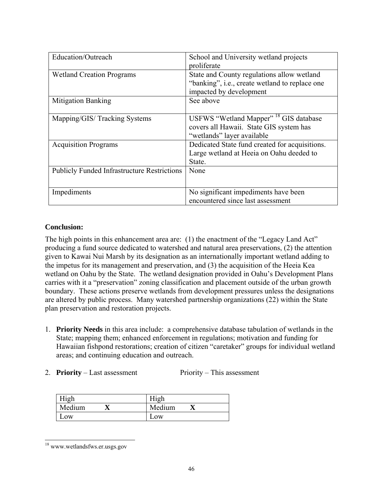| Education/Outreach                                 | School and University wetland projects<br>proliferate                                                                      |
|----------------------------------------------------|----------------------------------------------------------------------------------------------------------------------------|
| <b>Wetland Creation Programs</b>                   | State and County regulations allow wetland<br>"banking", i.e., create wetland to replace one<br>impacted by development    |
| <b>Mitigation Banking</b>                          | See above                                                                                                                  |
| Mapping/GIS/Tracking Systems                       | USFWS "Wetland Mapper" <sup>18</sup> GIS database<br>covers all Hawaii. State GIS system has<br>"wetlands" layer available |
| <b>Acquisition Programs</b>                        | Dedicated State fund created for acquisitions.<br>Large wetland at Heeia on Oahu deeded to<br>State.                       |
| <b>Publicly Funded Infrastructure Restrictions</b> | None                                                                                                                       |
| Impediments                                        | No significant impediments have been<br>encountered since last assessment                                                  |

#### **Conclusion:**

The high points in this enhancement area are: (1) the enactment of the "Legacy Land Act" producing a fund source dedicated to watershed and natural area preservations, (2) the attention given to Kawai Nui Marsh by its designation as an internationally important wetland adding to the impetus for its management and preservation, and (3) the acquisition of the Heeia Kea wetland on Oahu by the State. The wetland designation provided in Oahu's Development Plans carries with it a "preservation" zoning classification and placement outside of the urban growth boundary. These actions preserve wetlands from development pressures unless the designations are altered by public process. Many watershed partnership organizations (22) within the State plan preservation and restoration projects.

- 1. **Priority Needs** in this area include: a comprehensive database tabulation of wetlands in the State; mapping them; enhanced enforcement in regulations; motivation and funding for Hawaiian fishpond restorations; creation of citizen "caretaker" groups for individual wetland areas; and continuing education and outreach.
- 2. **Priority** Last assessment Priority This assessment

| High   | High   |
|--------|--------|
| Medium | Medium |
| Low    | Low    |

 $\overline{a}$ 18 www.wetlandsfws.er.usgs.gov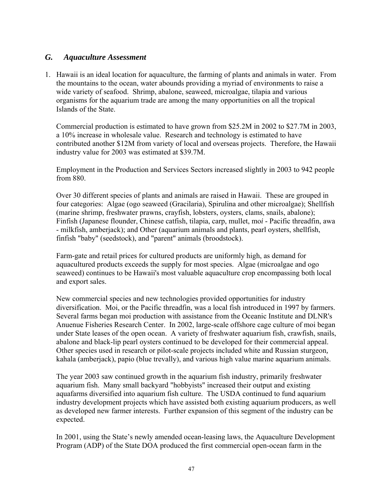#### *G. Aquaculture Assessment*

1. Hawaii is an ideal location for aquaculture, the farming of plants and animals in water. From the mountains to the ocean, water abounds providing a myriad of environments to raise a wide variety of seafood. Shrimp, abalone, seaweed, microalgae, tilapia and various organisms for the aquarium trade are among the many opportunities on all the tropical Islands of the State.

Commercial production is estimated to have grown from \$25.2M in 2002 to \$27.7M in 2003, a 10% increase in wholesale value. Research and technology is estimated to have contributed another \$12M from variety of local and overseas projects. Therefore, the Hawaii industry value for 2003 was estimated at \$39.7M.

Employment in the Production and Services Sectors increased slightly in 2003 to 942 people from 880.

Over 30 different species of plants and animals are raised in Hawaii. These are grouped in four categories: Algae (ogo seaweed (Gracilaria), Spirulina and other microalgae); Shellfish (marine shrimp, freshwater prawns, crayfish, lobsters, oysters, clams, snails, abalone); Finfish (Japanese flounder, Chinese catfish, tilapia, carp, mullet, mo*i* - Pacific threadfin, awa - milkfish, amberjack); and Other (aquarium animals and plants, pearl oysters, shellfish, finfish "baby" (seedstock), and "parent" animals (broodstock).

Farm-gate and retail prices for cultured products are uniformly high, as demand for aquacultured products exceeds the supply for most species. Algae (microalgae and ogo seaweed) continues to be Hawaii's most valuable aquaculture crop encompassing both local and export sales.

New commercial species and new technologies provided opportunities for industry diversification. Moi, or the Pacific threadfin, was a local fish introduced in 1997 by farmers. Several farms began moi production with assistance from the Oceanic Institute and DLNR's Anuenue Fisheries Research Center. In 2002, large-scale offshore cage culture of moi began under State leases of the open ocean. A variety of freshwater aquarium fish, crawfish, snails, abalone and black-lip pearl oysters continued to be developed for their commercial appeal. Other species used in research or pilot-scale projects included white and Russian sturgeon*,*  kahala (amberjack), papio (blue trevally), and various high value marine aquarium animals.

The year 2003 saw continued growth in the aquarium fish industry, primarily freshwater aquarium fish. Many small backyard "hobbyists" increased their output and existing aquafarms diversified into aquarium fish culture. The USDA continued to fund aquarium industry development projects which have assisted both existing aquarium producers, as well as developed new farmer interests. Further expansion of this segment of the industry can be expected.

In 2001, using the State's newly amended ocean-leasing laws, the Aquaculture Development Program (ADP) of the State DOA produced the first commercial open-ocean farm in the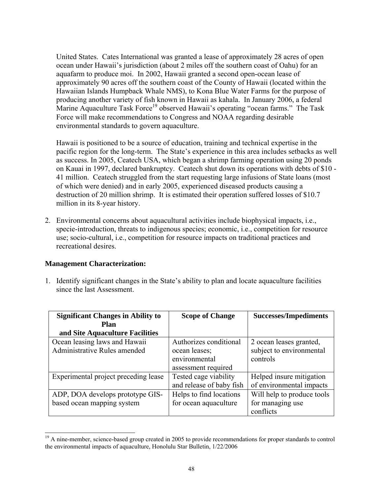United States. Cates International was granted a lease of approximately 28 acres of open ocean under Hawaii's jurisdiction (about 2 miles off the southern coast of Oahu) for an aquafarm to produce moi. In 2002, Hawaii granted a second open-ocean lease of approximately 90 acres off the southern coast of the County of Hawaii (located within the Hawaiian Islands Humpback Whale NMS), to Kona Blue Water Farms for the purpose of producing another variety of fish known in Hawaii as kahala. In January 2006, a federal Marine Aquaculture Task Force<sup>19</sup> observed Hawaii's operating "ocean farms." The Task Force will make recommendations to Congress and NOAA regarding desirable environmental standards to govern aquaculture.

Hawaii is positioned to be a source of education, training and technical expertise in the pacific region for the long-term. The State's experience in this area includes setbacks as well as success. In 2005, Ceatech USA, which began a shrimp farming operation using 20 ponds on Kauai in 1997, declared bankruptcy. Ceatech shut down its operations with debts of \$10 - 41 million. Ceatech struggled from the start requesting large infusions of State loans (most of which were denied) and in early 2005, experienced diseased products causing a destruction of 20 million shrimp. It is estimated their operation suffered losses of \$10.7 million in its 8-year history.

2. Environmental concerns about aquacultural activities include biophysical impacts, i.e., specie-introduction, threats to indigenous species; economic, i.e., competition for resource use; socio-cultural, i.e., competition for resource impacts on traditional practices and recreational desires.

#### **Management Characterization:**

 $\overline{a}$ 

1. Identify significant changes in the State's ability to plan and locate aquaculture facilities since the last Assessment.

| <b>Significant Changes in Ability to</b> | <b>Scope of Change</b>   | <b>Successes/Impediments</b> |
|------------------------------------------|--------------------------|------------------------------|
| Plan                                     |                          |                              |
| and Site Aquaculture Facilities          |                          |                              |
| Ocean leasing laws and Hawaii            | Authorizes conditional   | 2 ocean leases granted,      |
| Administrative Rules amended             | ocean leases;            | subject to environmental     |
|                                          | environmental            | controls                     |
|                                          | assessment required      |                              |
| Experimental project preceding lease     | Tested cage viability    | Helped insure mitigation     |
|                                          | and release of baby fish | of environmental impacts     |
| ADP, DOA develops prototype GIS-         | Helps to find locations  | Will help to produce tools   |
| based ocean mapping system               | for ocean aquaculture    | for managing use             |
|                                          |                          | conflicts                    |

<sup>&</sup>lt;sup>19</sup> A nine-member, science-based group created in 2005 to provide recommendations for proper standards to control the environmental impacts of aquaculture, Honolulu Star Bulletin, 1/22/2006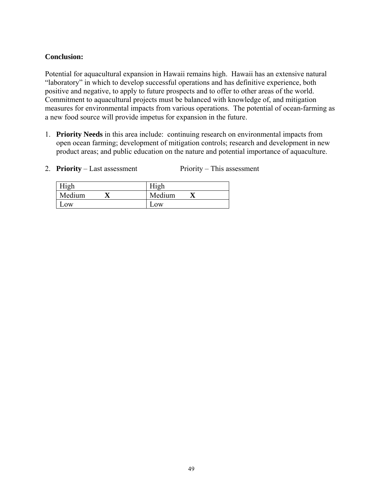#### **Conclusion:**

Potential for aquacultural expansion in Hawaii remains high. Hawaii has an extensive natural "laboratory" in which to develop successful operations and has definitive experience, both positive and negative, to apply to future prospects and to offer to other areas of the world. Commitment to aquacultural projects must be balanced with knowledge of, and mitigation measures for environmental impacts from various operations. The potential of ocean-farming as a new food source will provide impetus for expansion in the future.

- 1. **Priority Needs** in this area include: continuing research on environmental impacts from open ocean farming; development of mitigation controls; research and development in new product areas; and public education on the nature and potential importance of aquaculture.
- 2. **Priority** Last assessment Priority This assessment

| High      | Hıgh   |
|-----------|--------|
| Medium    | Medium |
| $\sim$ OW | LOW    |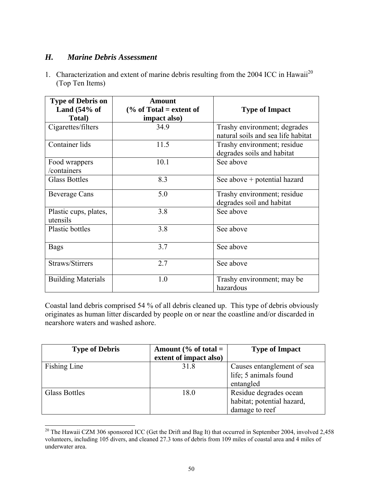#### *H. Marine Debris Assessment*

1. Characterization and extent of marine debris resulting from the 2004 ICC in Hawaii<sup>20</sup> (Top Ten Items)

| <b>Type of Debris on</b>          | <b>Amount</b>                      |                                                                    |
|-----------------------------------|------------------------------------|--------------------------------------------------------------------|
| Land $(54\% \text{ of }$          | $\frac{6}{6}$ of Total = extent of | <b>Type of Impact</b>                                              |
| Total)                            | impact also)                       |                                                                    |
| Cigarettes/filters                | 34.9                               | Trashy environment; degrades<br>natural soils and sea life habitat |
| Container lids                    | 11.5                               | Trashy environment; residue<br>degrades soils and habitat          |
| Food wrappers<br>/containers      | 10.1                               | See above                                                          |
| <b>Glass Bottles</b>              | 8.3                                | See above + potential hazard                                       |
| <b>Beverage Cans</b>              | 5.0                                | Trashy environment; residue<br>degrades soil and habitat           |
| Plastic cups, plates,<br>utensils | 3.8                                | See above                                                          |
| <b>Plastic bottles</b>            | 3.8                                | See above                                                          |
| <b>Bags</b>                       | 3.7                                | See above                                                          |
| Straws/Stirrers                   | 2.7                                | See above                                                          |
| <b>Building Materials</b>         | 1.0                                | Trashy environment; may be<br>hazardous                            |

Coastal land debris comprised 54 % of all debris cleaned up. This type of debris obviously originates as human litter discarded by people on or near the coastline and/or discarded in nearshore waters and washed ashore.

| <b>Type of Debris</b> | Amount (% of total $=$<br>extent of impact also) | <b>Type of Impact</b>                                                  |
|-----------------------|--------------------------------------------------|------------------------------------------------------------------------|
| Fishing Line          | 31.8                                             | Causes entanglement of sea<br>life; 5 animals found<br>entangled       |
| Glass Bottles         | 18.0                                             | Residue degrades ocean<br>habitat; potential hazard,<br>damage to reef |

l <sup>20</sup> The Hawaii CZM 306 sponsored ICC (Get the Drift and Bag It) that occurred in September 2004, involved 2,458 volunteers, including 105 divers, and cleaned 27.3 tons of debris from 109 miles of coastal area and 4 miles of underwater area.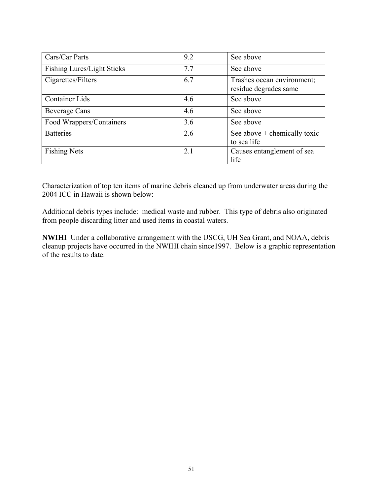| Cars/Car Parts                    | 9.2 | See above                                           |
|-----------------------------------|-----|-----------------------------------------------------|
| <b>Fishing Lures/Light Sticks</b> | 7.7 | See above                                           |
| Cigarettes/Filters                | 6.7 | Trashes ocean environment;<br>residue degrades same |
| <b>Container Lids</b>             | 4.6 | See above                                           |
| <b>Beverage Cans</b>              | 4.6 | See above                                           |
| Food Wrappers/Containers          | 3.6 | See above                                           |
| <b>Batteries</b>                  | 2.6 | See above $+$ chemically toxic<br>to sea life       |
| <b>Fishing Nets</b>               | 2.1 | Causes entanglement of sea<br>life                  |

Characterization of top ten items of marine debris cleaned up from underwater areas during the 2004 ICC in Hawaii is shown below:

Additional debris types include: medical waste and rubber. This type of debris also originated from people discarding litter and used items in coastal waters.

**NWIHI** Under a collaborative arrangement with the USCG, UH Sea Grant, and NOAA, debris cleanup projects have occurred in the NWIHI chain since1997. Below is a graphic representation of the results to date.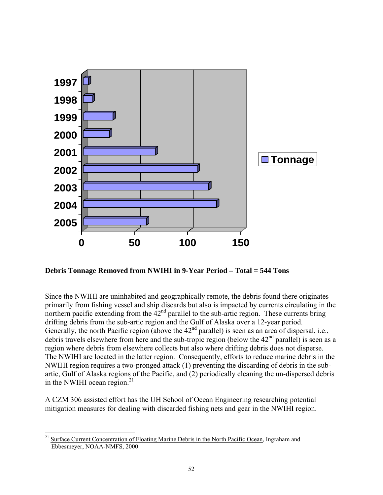

**Debris Tonnage Removed from NWIHI in 9-Year Period – Total = 544 Tons** 

Since the NWIHI are uninhabited and geographically remote, the debris found there originates primarily from fishing vessel and ship discards but also is impacted by currents circulating in the northern pacific extending from the  $42<sup>nd</sup>$  parallel to the sub-artic region. These currents bring drifting debris from the sub-artic region and the Gulf of Alaska over a 12-year period. Generally, the north Pacific region (above the  $42<sup>nd</sup>$  parallel) is seen as an area of dispersal, i.e., debris travels elsewhere from here and the sub-tropic region (below the  $42<sup>nd</sup>$  parallel) is seen as a region where debris from elsewhere collects but also where drifting debris does not disperse. The NWIHI are located in the latter region. Consequently, efforts to reduce marine debris in the NWIHI region requires a two-pronged attack (1) preventing the discarding of debris in the subartic, Gulf of Alaska regions of the Pacific, and (2) periodically cleaning the un-dispersed debris in the NWIHI ocean region. $^{21}$ 

A CZM 306 assisted effort has the UH School of Ocean Engineering researching potential mitigation measures for dealing with discarded fishing nets and gear in the NWIHI region.

 $\overline{a}$ 

<sup>&</sup>lt;sup>21</sup> Surface Current Concentration of Floating Marine Debris in the North Pacific Ocean, Ingraham and Ebbesmeyer, NOAA-NMFS, 2000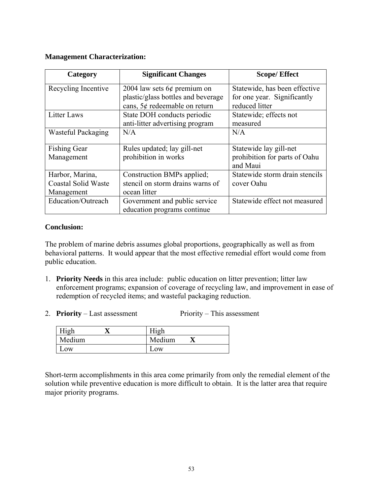#### **Management Characterization:**

| Category                   | <b>Significant Changes</b>         | <b>Scope/Effect</b>            |
|----------------------------|------------------------------------|--------------------------------|
| Recycling Incentive        | 2004 law sets $6¢$ premium on      | Statewide, has been effective  |
|                            | plastic/glass bottles and beverage | for one year. Significantly    |
|                            | cans, 5¢ redeemable on return      | reduced litter                 |
| Litter Laws                | State DOH conducts periodic        | Statewide; effects not         |
|                            | anti-litter advertising program    | measured                       |
| Wasteful Packaging         | N/A                                | N/A                            |
|                            |                                    |                                |
| <b>Fishing Gear</b>        | Rules updated; lay gill-net        | Statewide lay gill-net         |
| Management                 | prohibition in works               | prohibition for parts of Oahu  |
|                            |                                    | and Maui                       |
| Harbor, Marina,            | Construction BMPs applied;         | Statewide storm drain stencils |
| <b>Coastal Solid Waste</b> | stencil on storm drains warns of   | cover Oahu                     |
| Management                 | ocean litter                       |                                |
| Education/Outreach         | Government and public service      | Statewide effect not measured  |
|                            | education programs continue        |                                |

#### **Conclusion:**

The problem of marine debris assumes global proportions, geographically as well as from behavioral patterns. It would appear that the most effective remedial effort would come from public education.

- 1. **Priority Needs** in this area include: public education on litter prevention; litter law enforcement programs; expansion of coverage of recycling law, and improvement in ease of redemption of recycled items; and wasteful packaging reduction.
- 2. **Priority** Last assessment Priority This assessment

| High   | High   |  |
|--------|--------|--|
| Medium | Medium |  |
| LOW    | LOW    |  |

Short-term accomplishments in this area come primarily from only the remedial element of the solution while preventive education is more difficult to obtain. It is the latter area that require major priority programs.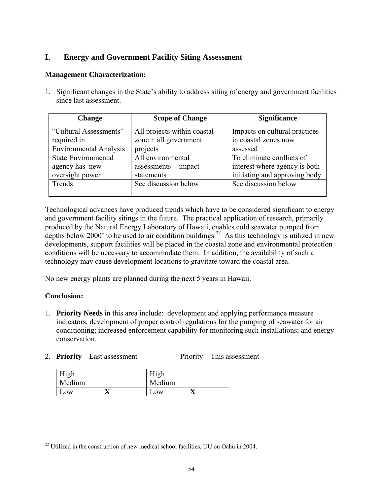### **I. Energy and Government Facility Siting Assessment**

#### **Management Characterization:**

1. Significant changes in the State's ability to address siting of energy and government facilities since last assessment.

| <b>Change</b>                 | <b>Scope of Change</b>      | <b>Significance</b>           |  |  |
|-------------------------------|-----------------------------|-------------------------------|--|--|
| "Cultural Assessments"        | All projects within coastal | Impacts on cultural practices |  |  |
| required in                   | zone + all government       | in coastal zones now          |  |  |
| <b>Environmental Analysis</b> | projects                    | assessed                      |  |  |
| <b>State Environmental</b>    | All environmental           | To eliminate conflicts of     |  |  |
| agency has new                | $assessments + impact$      | interest where agency is both |  |  |
| oversight power               | statements                  | initiating and approving body |  |  |
| Trends                        | See discussion below        | See discussion below          |  |  |
|                               |                             |                               |  |  |

Technological advances have produced trends which have to be considered significant to energy and government facility sitings in the future. The practical application of research, primarily produced by the Natural Energy Laboratory of Hawaii, enables cold seawater pumped from depths below 2000' to be used to air condition buildings.<sup>22</sup> As this technology is utilized in new developments, support facilities will be placed in the coastal zone and environmental protection conditions will be necessary to accommodate them. In addition, the availability of such a technology may cause development locations to gravitate toward the coastal area.

No new energy plants are planned during the next 5 years in Hawaii.

#### **Conclusion:**

- 1. **Priority Needs** in this area include: development and applying performance measure indicators, development of proper control regulations for the pumping of seawater for air conditioning; increased enforcement capability for monitoring such installations; and energy conservation.
- 2. **Priority** Last assessment Priority This assessment

| High   |  | High   |  |
|--------|--|--------|--|
| Medium |  | Medium |  |
| Low    |  | .0W    |  |

 $\overline{a}$  $22$  Utilized in the construction of new medical school facilities, UU on Oahu in 2004.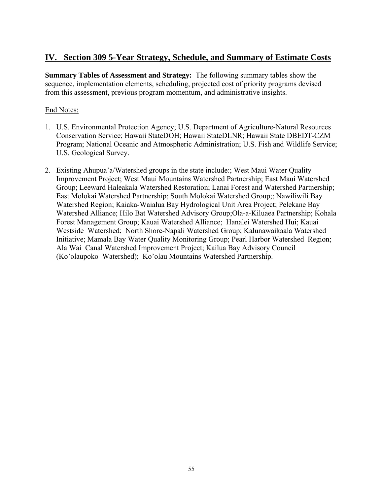## **IV. Section 309 5-Year Strategy, Schedule, and Summary of Estimate Costs**

**Summary Tables of Assessment and Strategy:** The following summary tables show the sequence, implementation elements, scheduling, projected cost of priority programs devised from this assessment, previous program momentum, and administrative insights.

#### End Notes:

- 1. U.S. Environmental Protection Agency; U.S. Department of Agriculture-Natural Resources Conservation Service; Hawaii StateDOH; Hawaii StateDLNR; Hawaii State DBEDT-CZM Program; National Oceanic and Atmospheric Administration; U.S. Fish and Wildlife Service; U.S. Geological Survey.
- 2. Existing Ahupua'a/Watershed groups in the state include:; West Maui Water Quality Improvement Project; West Maui Mountains Watershed Partnership; East Maui Watershed Group; Leeward Haleakala Watershed Restoration; Lanai Forest and Watershed Partnership; East Molokai Watershed Partnership; South Molokai Watershed Group;; Nawiliwili Bay Watershed Region; Kaiaka-Waialua Bay Hydrological Unit Area Project; Pelekane Bay Watershed Alliance; Hilo Bat Watershed Advisory Group;Ola-a-Kiluaea Partnership; Kohala Forest Management Group; Kauai Watershed Alliance; Hanalei Watershed Hui; Kauai Westside Watershed; North Shore-Napali Watershed Group; Kalunawaikaala Watershed Initiative; Mamala Bay Water Quality Monitoring Group; Pearl Harbor Watershed Region; Ala Wai Canal Watershed Improvement Project; Kailua Bay Advisory Council (Ko'olaupoko Watershed); Ko'olau Mountains Watershed Partnership.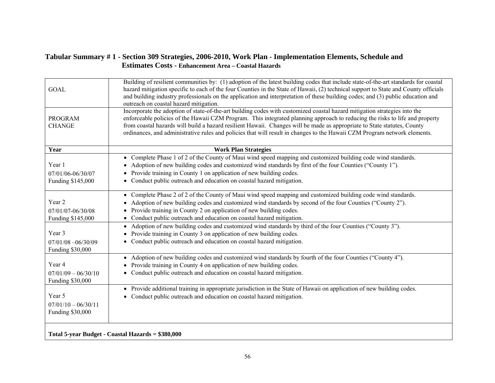#### **Tabular Summary # 1 - Section 309 Strategies, 2006-2010, Work Plan - Implementation Elements, Schedule and Estimates Costs - Enhancement Area – Coastal Hazards**

| <b>GOAL</b>                                         | Building of resilient communities by: (1) adoption of the latest building codes that include state-of-the-art standards for coastal<br>hazard mitigation specific to each of the four Counties in the State of Hawaii, (2) technical support to State and County officials<br>and building industry professionals on the application and interpretation of these building codes; and (3) public education and<br>outreach on coastal hazard mitigation.                                                            |
|-----------------------------------------------------|--------------------------------------------------------------------------------------------------------------------------------------------------------------------------------------------------------------------------------------------------------------------------------------------------------------------------------------------------------------------------------------------------------------------------------------------------------------------------------------------------------------------|
| <b>PROGRAM</b><br><b>CHANGE</b>                     | Incorporate the adoption of state-of-the-art building codes with customized coastal hazard mitigation strategies into the<br>enforceable policies of the Hawaii CZM Program. This integrated planning approach to reducing the risks to life and property<br>from coastal hazards will build a hazard resilient Hawaii. Changes will be made as appropriate to State statutes, County<br>ordinances, and administrative rules and policies that will result in changes to the Hawaii CZM Program network elements. |
| Year                                                | <b>Work Plan Strategies</b>                                                                                                                                                                                                                                                                                                                                                                                                                                                                                        |
| Year 1<br>07/01/06-06/30/07<br>Funding \$145,000    | • Complete Phase 1 of 2 of the County of Maui wind speed mapping and customized building code wind standards.<br>Adoption of new building codes and customized wind standards by first of the four Counties ("County 1").<br>Provide training in County 1 on application of new building codes.<br>• Conduct public outreach and education on coastal hazard mitigation.                                                                                                                                           |
| Year 2<br>07/01/07-06/30/08<br>Funding \$145,000    | • Complete Phase 2 of 2 of the County of Maui wind speed mapping and customized building code wind standards.<br>Adoption of new building codes and customized wind standards by second of the four Counties ("County 2").<br>Provide training in County 2 on application of new building codes.<br>Conduct public outreach and education on coastal hazard mitigation.                                                                                                                                            |
| Year 3<br>$07/01/08 - 06/30/09$<br>Funding \$30,000 | Adoption of new building codes and customized wind standards by third of the four Counties ("County 3").<br>$\bullet$<br>Provide training in County 3 on application of new building codes.<br>• Conduct public outreach and education on coastal hazard mitigation.                                                                                                                                                                                                                                               |
| Year 4<br>$07/01/09 - 06/30/10$<br>Funding \$30,000 | • Adoption of new building codes and customized wind standards by fourth of the four Counties ("County 4").<br>Provide training in County 4 on application of new building codes.<br>Conduct public outreach and education on coastal hazard mitigation.                                                                                                                                                                                                                                                           |
| Year 5<br>$07/01/10 - 06/30/11$<br>Funding \$30,000 | • Provide additional training in appropriate jurisdiction in the State of Hawaii on application of new building codes.<br>• Conduct public outreach and education on coastal hazard mitigation.                                                                                                                                                                                                                                                                                                                    |
|                                                     | Total 5-year Budget - Coastal Hazards = \$380,000                                                                                                                                                                                                                                                                                                                                                                                                                                                                  |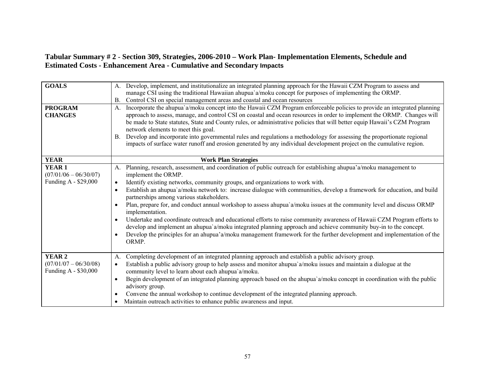#### **Tabular Summary # 2** - **Section 309, Strategies, 2006-2010 – Work Plan- Implementation Elements, Schedule and Estimated Costs - Enhancement Area - Cumulative and Secondary Impacts**

| <b>GOALS</b>                                    | Develop, implement, and institutionalize an integrated planning approach for the Hawaii CZM Program to assess and<br>A.<br>manage CSI using the traditional Hawaiian ahupua'a/moku concept for purposes of implementing the ORMP.<br>Control CSI on special management areas and coastal and ocean resources<br><b>B.</b> |
|-------------------------------------------------|---------------------------------------------------------------------------------------------------------------------------------------------------------------------------------------------------------------------------------------------------------------------------------------------------------------------------|
| <b>PROGRAM</b><br><b>CHANGES</b>                | Incorporate the ahupua'a/moku concept into the Hawaii CZM Program enforceable policies to provide an integrated planning<br>$A_{\cdot}$<br>approach to assess, manage, and control CSI on coastal and ocean resources in order to implement the ORMP. Changes will                                                        |
|                                                 | be made to State statutes, State and County rules, or administrative policies that will better equip Hawaii's CZM Program<br>network elements to meet this goal.                                                                                                                                                          |
|                                                 | Develop and incorporate into governmental rules and regulations a methodology for assessing the proportionate regional<br><b>B.</b><br>impacts of surface water runoff and erosion generated by any individual development project on the cumulative region.                                                              |
| <b>YEAR</b>                                     | <b>Work Plan Strategies</b>                                                                                                                                                                                                                                                                                               |
| YEAR <sub>1</sub><br>$(07/01/06 - 06/30/07)$    | A. Planning, research, assessment, and coordination of public outreach for establishing ahupua'a/moku management to<br>implement the ORMP.                                                                                                                                                                                |
| Funding A - \$29,000                            | Identify existing networks, community groups, and organizations to work with.<br>$\bullet$                                                                                                                                                                                                                                |
|                                                 | Establish an ahupua a/moku network to: increase dialogue with communities, develop a framework for education, and build<br>partnerships among various stakeholders.                                                                                                                                                       |
|                                                 | Plan, prepare for, and conduct annual workshop to assess ahupua`a/moku issues at the community level and discuss ORMP<br>implementation.                                                                                                                                                                                  |
|                                                 | Undertake and coordinate outreach and educational efforts to raise community awareness of Hawaii CZM Program efforts to<br>develop and implement an ahupua`a/moku integrated planning approach and achieve community buy-in to the concept.                                                                               |
|                                                 | Develop the principles for an ahupua'a/moku management framework for the further development and implementation of the<br>ORMP.                                                                                                                                                                                           |
| YEAR <sub>2</sub>                               | Completing development of an integrated planning approach and establish a public advisory group.<br>A.                                                                                                                                                                                                                    |
| $(07/01/07 - 06/30/08)$<br>Funding A - \$30,000 | Establish a public advisory group to help assess and monitor ahupua`a/moku issues and maintain a dialogue at the<br>$\bullet$<br>community level to learn about each ahupua'a/moku.                                                                                                                                       |
|                                                 | Begin development of an integrated planning approach based on the ahupua'a/moku concept in coordination with the public<br>$\bullet$<br>advisory group.                                                                                                                                                                   |
|                                                 | Convene the annual workshop to continue development of the integrated planning approach.<br>$\bullet$                                                                                                                                                                                                                     |
|                                                 | Maintain outreach activities to enhance public awareness and input.                                                                                                                                                                                                                                                       |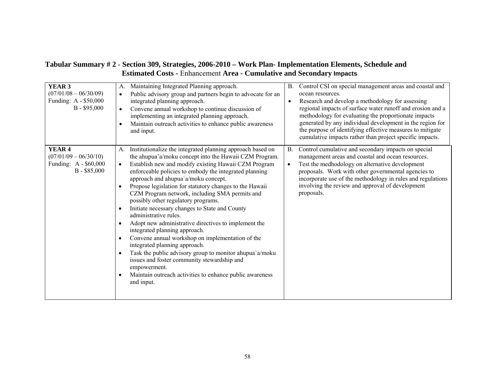#### **Tabular Summary # 2** - **Section 309, Strategies, 2006-2010 – Work Plan- Implementation Elements, Schedule and Estimated Costs -** Enhancement **Area - Cumulative and Secondary Impacts**

| YEAR <sub>3</sub><br>$(07/01/08 - 06/30/09)$<br>Funding: A - \$50,000<br>$B - $95,000$ | Maintaining Integrated Planning approach.<br>A.<br>Public advisory group and partners begin to advocate for an<br>$\bullet$<br>integrated planning approach.<br>Convene annual workshop to continue discussion of<br>implementing an integrated planning approach.<br>Maintain outreach activities to enhance public awareness<br>and input.                                                                                                                                                                                                                                                                                                                                                                                                                                                                                                                                                                                                | Control CSI on special management areas and coastal and<br>В.<br>ocean resources.<br>Research and develop a methodology for assessing<br>regional impacts of surface water runoff and erosion and a<br>methodology for evaluating the proportionate impacts<br>generated by any individual development in the region for<br>the purpose of identifying effective measures to mitigate<br>cumulative impacts rather than project specific impacts. |
|----------------------------------------------------------------------------------------|---------------------------------------------------------------------------------------------------------------------------------------------------------------------------------------------------------------------------------------------------------------------------------------------------------------------------------------------------------------------------------------------------------------------------------------------------------------------------------------------------------------------------------------------------------------------------------------------------------------------------------------------------------------------------------------------------------------------------------------------------------------------------------------------------------------------------------------------------------------------------------------------------------------------------------------------|---------------------------------------------------------------------------------------------------------------------------------------------------------------------------------------------------------------------------------------------------------------------------------------------------------------------------------------------------------------------------------------------------------------------------------------------------|
| YEAR <sub>4</sub><br>$(07/01/09 - 06/30/10)$<br>Funding: A - \$60,000<br>$B - $85,000$ | Institutionalize the integrated planning approach based on<br>A.<br>the ahupua'a/moku concept into the Hawaii CZM Program.<br>Establish new and modify existing Hawaii CZM Program<br>$\bullet$<br>enforceable policies to embody the integrated planning<br>approach and ahupua'a/moku concept.<br>Propose legislation for statutory changes to the Hawaii<br>CZM Program network, including SMA permits and<br>possibly other regulatory programs.<br>Initiate necessary changes to State and County<br>$\bullet$<br>administrative rules.<br>Adopt new administrative directives to implement the<br>integrated planning approach.<br>Convene annual workshop on implementation of the<br>integrated planning approach.<br>Task the public advisory group to monitor ahupua'a/moku<br>$\bullet$<br>issues and foster community stewardship and<br>empowerment.<br>Maintain outreach activities to enhance public awareness<br>and input. | Control cumulative and secondary impacts on special<br><b>B.</b><br>management areas and coastal and ocean resources.<br>Test the medhodology on alternative development<br>$\bullet$<br>proposals. Work with other governmental agencies to<br>incorporate use of the methodology in rules and regulations<br>involving the review and approval of development<br>proposals.                                                                     |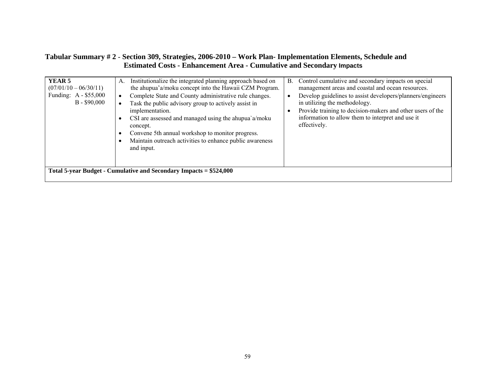#### **Tabular Summary # 2** - **Section 309, Strategies, 2006-2010 – Work Plan- Implementation Elements, Schedule and Estimated Costs - Enhancement Area - Cumulative and Secondary Impacts**

| YEAR <sub>5</sub><br>$(07/01/10 - 06/30/11)$<br>Funding: A - \$55,000<br>$B - $90,000$ | Institutionalize the integrated planning approach based on<br>А.<br>the ahupua'a/moku concept into the Hawaii CZM Program.<br>Complete State and County administrative rule changes.<br>Task the public advisory group to actively assist in<br>implementation.<br>CSI are assessed and managed using the ahupua`a/moku<br>concept.<br>Convene 5th annual workshop to monitor progress.<br>Maintain outreach activities to enhance public awareness<br>and input. | Control cumulative and secondary impacts on special<br><b>B.</b><br>management areas and coastal and ocean resources.<br>Develop guidelines to assist developers/planners/engineers<br>in utilizing the methodology.<br>Provide training to decision-makers and other users of the<br>information to allow them to interpret and use it<br>effectively. |
|----------------------------------------------------------------------------------------|-------------------------------------------------------------------------------------------------------------------------------------------------------------------------------------------------------------------------------------------------------------------------------------------------------------------------------------------------------------------------------------------------------------------------------------------------------------------|---------------------------------------------------------------------------------------------------------------------------------------------------------------------------------------------------------------------------------------------------------------------------------------------------------------------------------------------------------|
|                                                                                        | Total 5-year Budget - Cumulative and Secondary Impacts = \$524,000                                                                                                                                                                                                                                                                                                                                                                                                |                                                                                                                                                                                                                                                                                                                                                         |